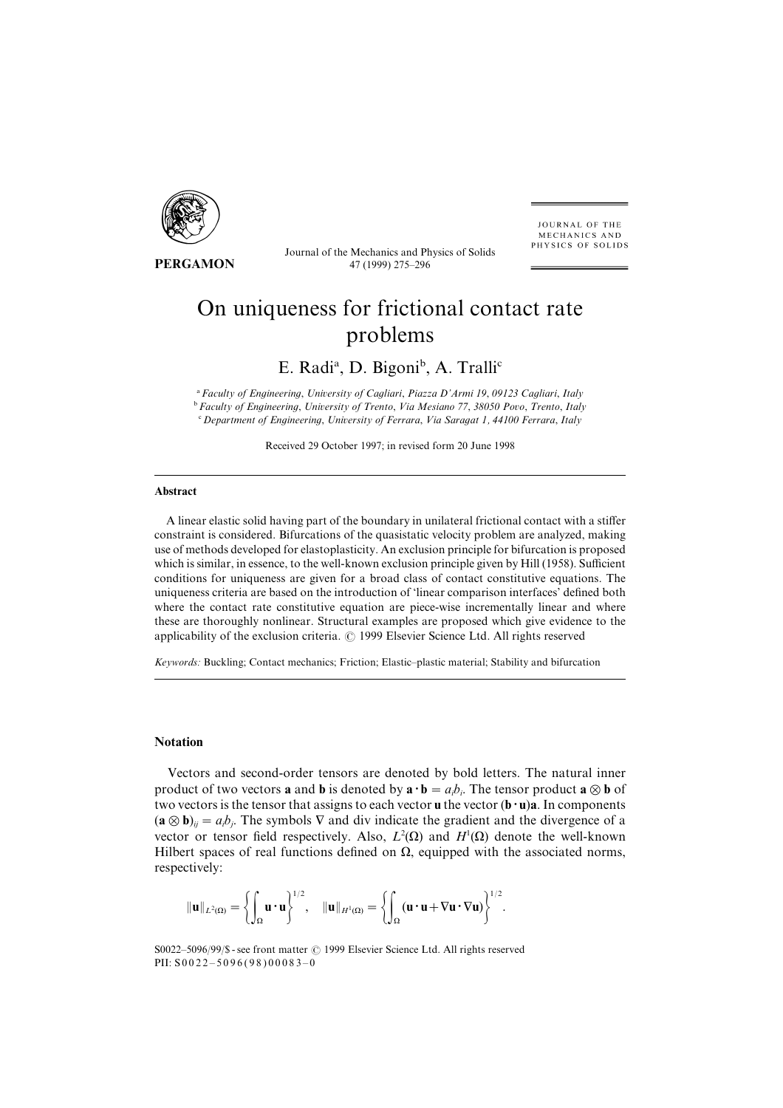

PERGAMON

Journal of the Mechanics and Physics of Solids 47 (1999) 275-296

JOURNAL OF THE MECHANICS AND PHYSICS OF SOLIDS

# On uniqueness for frictional contact rate problems

# E. Radi<sup>a</sup>, D. Bigoni<sup>b</sup>, A. Tralli<sup>c</sup>

<sup>a</sup> Faculty of Engineering, University of Cagliari, Piazza D'Armi 19, 09123 Cagliari, Italy  $\overline{D}$  Faculty of Engineering, University of Trento, Via Mesiano 77, 38050 Povo, Trento, Italy  $c$  Department of Engineering, University of Ferrara, Via Saragat 1, 44100 Ferrara, Italy

Received 29 October 1997; in revised form 20 June 1998

#### Abstract

A linear elastic solid having part of the boundary in unilateral frictional contact with a stiffer constraint is considered. Bifurcations of the quasistatic velocity problem are analyzed, making use of methods developed for elastoplasticity. An exclusion principle for bifurcation is proposed which is similar, in essence, to the well-known exclusion principle given by Hill (1958). Sufficient conditions for uniqueness are given for a broad class of contact constitutive equations. The uniqueness criteria are based on the introduction of 'linear comparison interfaces' defined both where the contact rate constitutive equation are piece-wise incrementally linear and where these are thoroughly nonlinear. Structural examples are proposed which give evidence to the applicability of the exclusion criteria.  $\oslash$  1999 Elsevier Science Ltd. All rights reserved

Keywords: Buckling; Contact mechanics; Friction; Elastic–plastic material; Stability and bifurcation

#### Notation

Vectors and second-order tensors are denoted by bold letters. The natural inner product of two vectors **a** and **b** is denoted by  $\mathbf{a} \cdot \mathbf{b} = a_i b_i$ . The tensor product  $\mathbf{a} \otimes \mathbf{b}$  of two vectors is the tensor that assigns to each vector  $\mathbf{u}$  the vector  $(\mathbf{b} \cdot \mathbf{u})\mathbf{a}$ . In components  $(\mathbf{a} \otimes \mathbf{b})_{ij} = a_i b_j$ . The symbols  $\nabla$  and div indicate the gradient and the divergence of a vector or tensor field respectively. Also,  $L^2(\Omega)$  and  $H^1(\Omega)$  denote the well-known Hilbert spaces of real functions defined on  $\Omega$ , equipped with the associated norms, respectively:

$$
\Vert \textbf{u} \Vert_{L^2(\Omega)} = \left\{ \int_{\Omega} \textbf{u} \cdot \textbf{u} \right\}^{1/2}, \quad \Vert \textbf{u} \Vert_{H^1(\Omega)} = \left\{ \int_{\Omega} (\textbf{u} \cdot \textbf{u} + \nabla \textbf{u} \cdot \nabla \textbf{u}) \right\}^{1/2}.
$$

S0022–5096/99/\$ - see front matter © 1999 Elsevier Science Ltd. All rights reserved PII:  $S0022 - 5096(98)00083 - 0$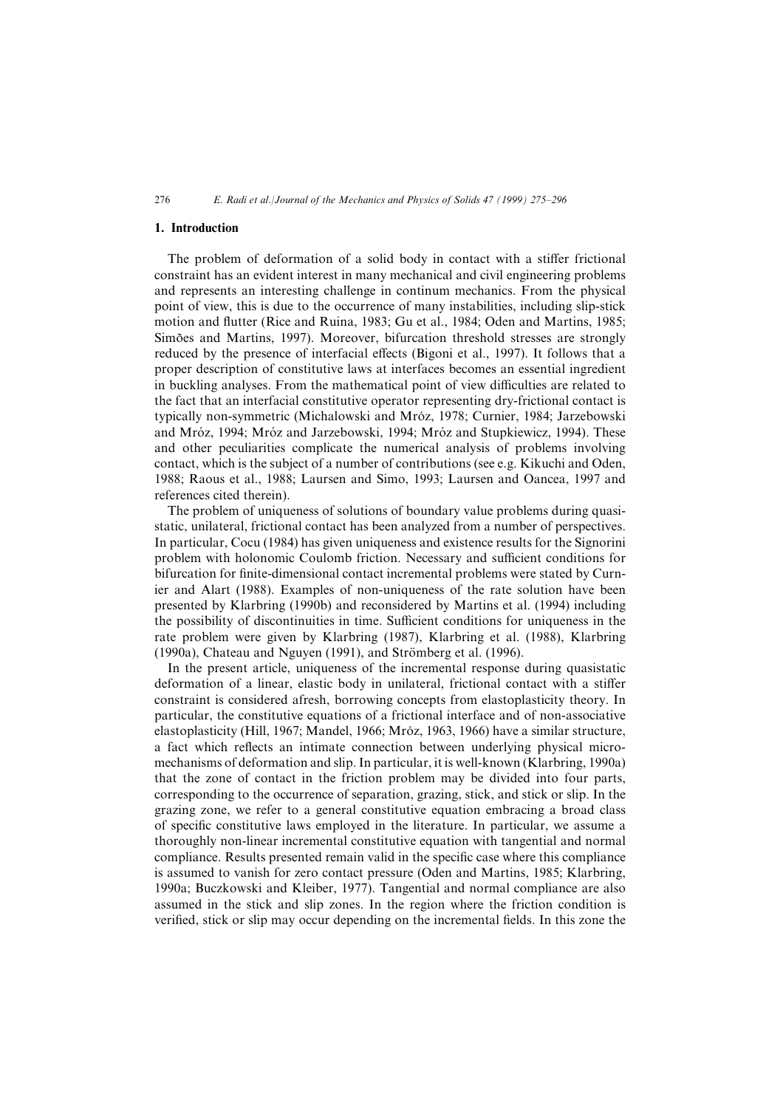#### 1. Introduction

The problem of deformation of a solid body in contact with a stiffer frictional constraint has an evident interest in many mechanical and civil engineering problems and represents an interesting challenge in continum mechanics. From the physical point of view, this is due to the occurrence of many instabilities, including slip-stick motion and flutter (Rice and Ruina, 1983; Gu et al., 1984; Oden and Martins, 1985; Simões and Martins, 1997). Moreover, bifurcation threshold stresses are strongly reduced by the presence of interfacial effects (Bigoni et al., 1997). It follows that a proper description of constitutive laws at interfaces becomes an essential ingredient in buckling analyses. From the mathematical point of view difficulties are related to the fact that an interfacial constitutive operator representing dry-frictional contact is typically non-symmetric (Michalowski and Mróz, 1978; Curnier, 1984; Jarzebowski and Mróz, 1994; Mróz and Jarzebowski, 1994; Mróz and Stupkiewicz, 1994). These and other peculiarities complicate the numerical analysis of problems involving contact, which is the subject of a number of contributions (see e.g. Kikuchi and Oden, 1988; Raous et al., 1988; Laursen and Simo, 1993; Laursen and Oancea, 1997 and references cited therein).

The problem of uniqueness of solutions of boundary value problems during quasistatic, unilateral, frictional contact has been analyzed from a number of perspectives. In particular, Cocu (1984) has given uniqueness and existence results for the Signorini problem with holonomic Coulomb friction. Necessary and sufficient conditions for bifurcation for finite-dimensional contact incremental problems were stated by Curnier and Alart (1988). Examples of non-uniqueness of the rate solution have been presented by Klarbring (1990b) and reconsidered by Martins et al. (1994) including the possibility of discontinuities in time. Sufficient conditions for uniqueness in the rate problem were given by Klarbring (1987), Klarbring et al. (1988), Klarbring  $(1990a)$ , Chateau and Nguyen  $(1991)$ , and Strömberg et al.  $(1996)$ .

In the present article, uniqueness of the incremental response during quasistatic deformation of a linear, elastic body in unilateral, frictional contact with a stiffer constraint is considered afresh, borrowing concepts from elastoplasticity theory. In particular, the constitutive equations of a frictional interface and of non-associative elastoplasticity (Hill, 1967; Mandel, 1966; Mróz, 1963, 1966) have a similar structure, a fact which reflects an intimate connection between underlying physical micromechanisms of deformation and slip. In particular, it is well-known (Klarbring, 1990a) that the zone of contact in the friction problem may be divided into four parts\ corresponding to the occurrence of separation, grazing, stick, and stick or slip. In the grazing zone, we refer to a general constitutive equation embracing a broad class of specific constitutive laws employed in the literature. In particular, we assume a thoroughly non-linear incremental constitutive equation with tangential and normal compliance. Results presented remain valid in the specific case where this compliance is assumed to vanish for zero contact pressure (Oden and Martins, 1985; Klarbring, 1990a; Buczkowski and Kleiber, 1977). Tangential and normal compliance are also assumed in the stick and slip zones. In the region where the friction condition is verified, stick or slip may occur depending on the incremental fields. In this zone the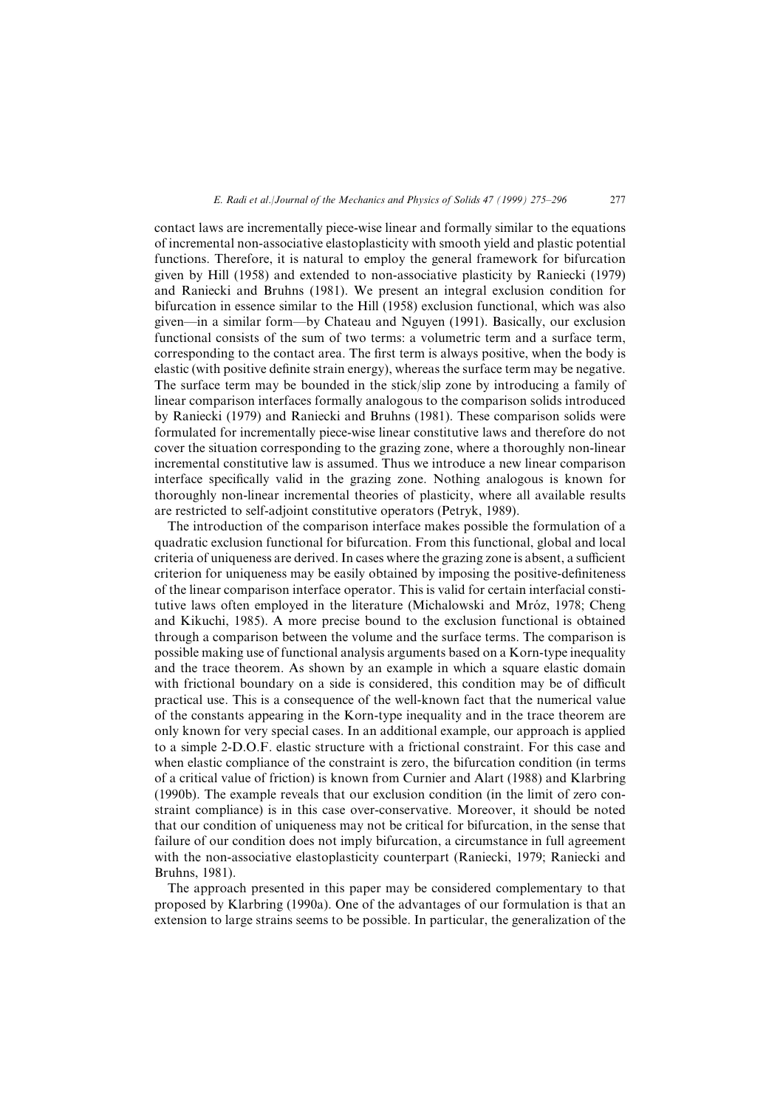contact laws are incrementally piece-wise linear and formally similar to the equations of incremental non-associative elastoplasticity with smooth yield and plastic potential functions. Therefore, it is natural to employ the general framework for bifurcation given by Hill (1958) and extended to non-associative plasticity by Raniecki (1979) and Raniecki and Bruhns (1981). We present an integral exclusion condition for bifurcation in essence similar to the Hill  $(1958)$  exclusion functional, which was also given—in a similar form—by Chateau and Nguyen (1991). Basically, our exclusion functional consists of the sum of two terms: a volumetric term and a surface term, corresponding to the contact area. The first term is always positive, when the body is elastic (with positive definite strain energy), whereas the surface term may be negative. The surface term may be bounded in the stick/slip zone by introducing a family of linear comparison interfaces formally analogous to the comparison solids introduced by Raniecki (1979) and Raniecki and Bruhns (1981). These comparison solids were formulated for incrementally piece-wise linear constitutive laws and therefore do not cover the situation corresponding to the grazing zone, where a thoroughly non-linear incremental constitutive law is assumed. Thus we introduce a new linear comparison interface specifically valid in the grazing zone. Nothing analogous is known for thoroughly non-linear incremental theories of plasticity, where all available results are restricted to self-adjoint constitutive operators (Petryk, 1989).

The introduction of the comparison interface makes possible the formulation of a quadratic exclusion functional for bifurcation. From this functional, global and local criteria of uniqueness are derived. In cases where the grazing zone is absent, a sufficient criterion for uniqueness may be easily obtained by imposing the positive-definiteness of the linear comparison interface operator. This is valid for certain interfacial constitutive laws often employed in the literature (Michalowski and Mróz, 1978; Cheng and Kikuchi, 1985). A more precise bound to the exclusion functional is obtained through a comparison between the volume and the surface terms. The comparison is possible making use of functional analysis arguments based on a Korn-type inequality and the trace theorem. As shown by an example in which a square elastic domain with frictional boundary on a side is considered, this condition may be of difficult practical use. This is a consequence of the well-known fact that the numerical value of the constants appearing in the Korn-type inequality and in the trace theorem are only known for very special cases. In an additional example, our approach is applied to a simple 2-D.O.F. elastic structure with a frictional constraint. For this case and when elastic compliance of the constraint is zero, the bifurcation condition (in terms of a critical value of friction) is known from Curnier and Alart (1988) and Klarbring  $(1990b)$ . The example reveals that our exclusion condition (in the limit of zero constraint compliance) is in this case over-conservative. Moreover, it should be noted that our condition of uniqueness may not be critical for bifurcation\ in the sense that failure of our condition does not imply bifurcation, a circumstance in full agreement with the non-associative elastoplasticity counterpart (Raniecki, 1979; Raniecki and Bruhns, 1981).

The approach presented in this paper may be considered complementary to that proposed by Klarbring (1990a). One of the advantages of our formulation is that an extension to large strains seems to be possible. In particular, the generalization of the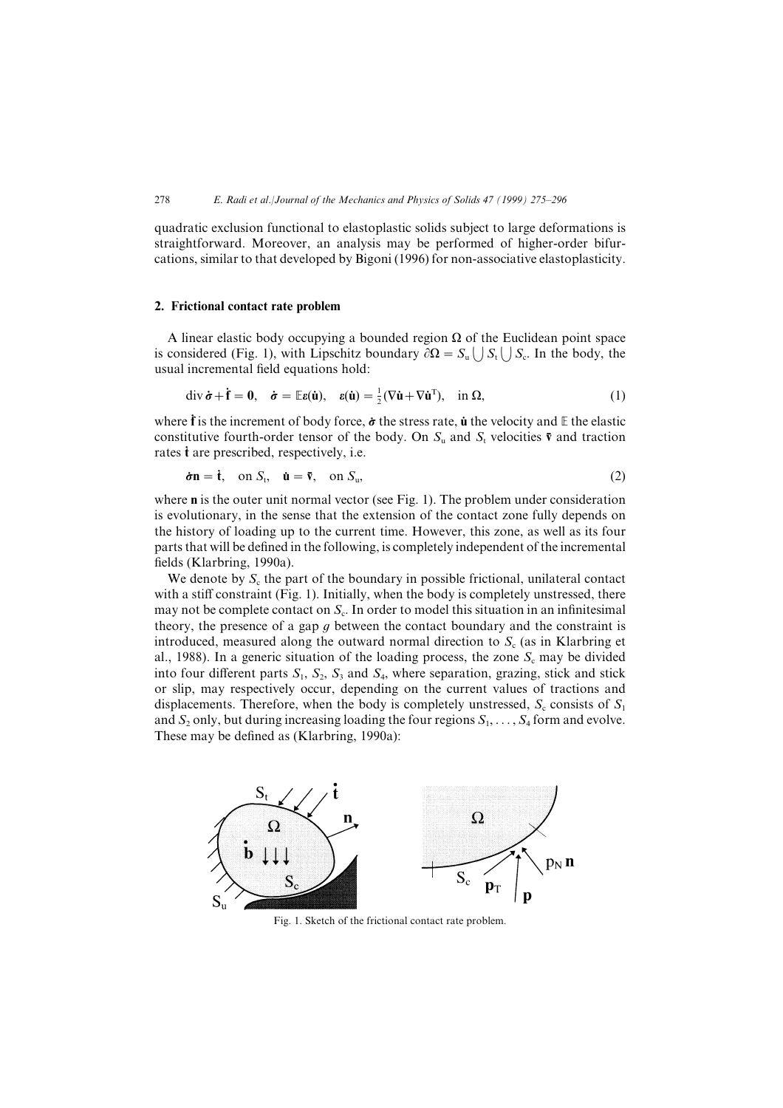quadratic exclusion functional to elastoplastic solids subject to large deformations is straightforward. Moreover, an analysis may be performed of higher-order bifurcations, similar to that developed by Bigoni (1996) for non-associative elastoplasticity.

#### 2. Frictional contact rate problem

A linear elastic body occupying a bounded region  $\Omega$  of the Euclidean point space is considered (Fig. 1), with Lipschitz boundary  $\partial \Omega = S_{\rm u} \langle \cdot | S_{\rm t} \rangle$   $S_{\rm c}$ . In the body, the usual incremental field equations hold:

$$
\operatorname{div} \dot{\boldsymbol{\sigma}} + \dot{\mathbf{f}} = \mathbf{0}, \quad \dot{\boldsymbol{\sigma}} = \mathbb{E} \boldsymbol{\varepsilon}(\dot{\mathbf{u}}), \quad \boldsymbol{\varepsilon}(\dot{\mathbf{u}}) = \frac{1}{2} (\nabla \dot{\mathbf{u}} + \nabla \dot{\mathbf{u}}^{\mathrm{T}}), \quad \text{in } \Omega,
$$
\n<sup>(1)</sup>

where  $\dot{\mathbf{f}}$  is the increment of body force,  $\dot{\boldsymbol{\sigma}}$  the stress rate,  $\dot{\mathbf{u}}$  the velocity and E the elastic constitutive fourth-order tensor of the body. On  $S_u$  and  $S_t$  velocities  $\bar{v}$  and traction rates  $\dot{\mathbf{t}}$  are prescribed, respectively, i.e.

$$
\dot{\boldsymbol{\sigma}} \mathbf{n} = \dot{\mathbf{t}}, \quad \text{on } S_{\mathrm{t}}, \quad \dot{\mathbf{u}} = \overline{\mathbf{v}}, \quad \text{on } S_{\mathrm{u}}, \tag{2}
$$

where  $\bf{n}$  is the outer unit normal vector (see Fig. 1). The problem under consideration is evolutionary, in the sense that the extension of the contact zone fully depends on the history of loading up to the current time. However, this zone, as well as its four parts that will be defined in the following, is completely independent of the incremental fields (Klarbring, 1990a).

We denote by  $S_c$  the part of the boundary in possible frictional, unilateral contact with a stiff constraint  $(Fig. 1)$ . Initially, when the body is completely unstressed, there may not be complete contact on  $S_c$ . In order to model this situation in an infinitesimal theory, the presence of a gap  $g$  between the contact boundary and the constraint is introduced, measured along the outward normal direction to  $S_c$  (as in Klarbring et al., 1988). In a generic situation of the loading process, the zone  $S_c$  may be divided into four different parts  $S_1$ ,  $S_2$ ,  $S_3$  and  $S_4$ , where separation, grazing, stick and stick or slip, may respectively occur, depending on the current values of tractions and displacements. Therefore, when the body is completely unstressed,  $S_c$  consists of  $S_1$ and  $S_2$  only, but during increasing loading the four regions  $S_1,\ldots, S_4$  form and evolve. These may be defined as  $(Klarbring, 1990a)$ :



Fig. 1. Sketch of the frictional contact rate problem.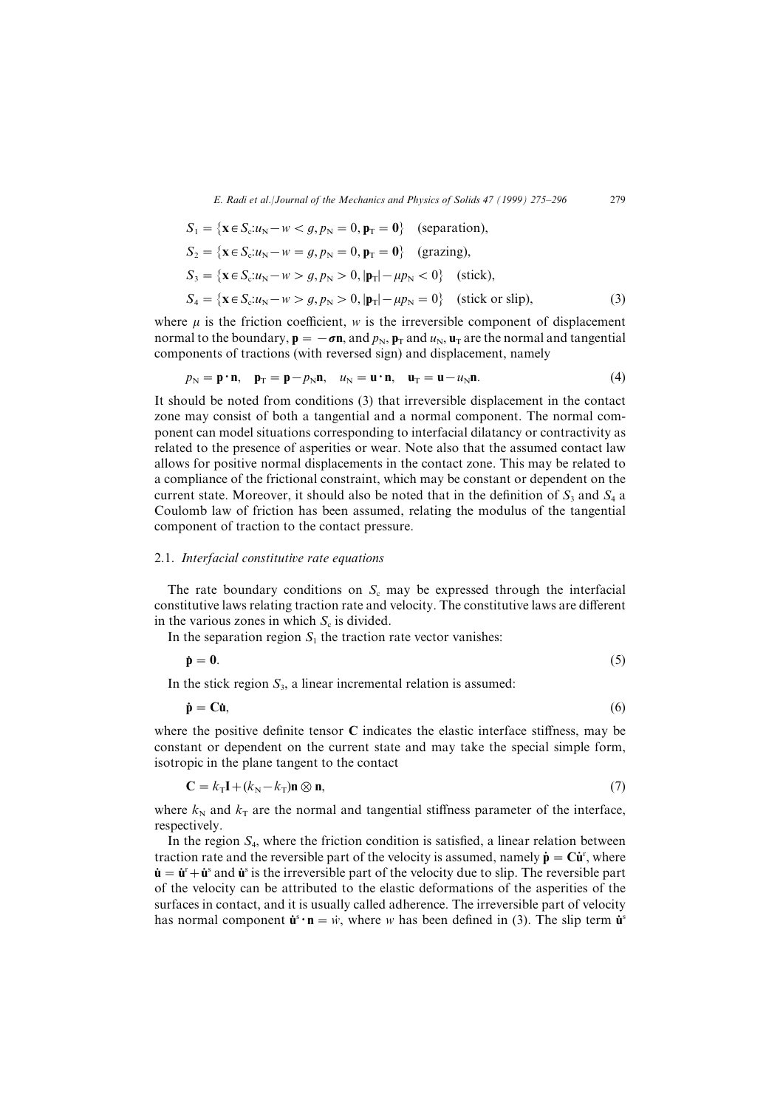$$
S_1 = \{ \mathbf{x} \in S_c : u_N - w < g, p_N = 0, \mathbf{p}_T = \mathbf{0} \} \quad \text{(separation)},
$$
\n
$$
S_2 = \{ \mathbf{x} \in S_c : u_N - w = g, p_N = 0, \mathbf{p}_T = \mathbf{0} \} \quad \text{(grazing)},
$$
\n
$$
S_3 = \{ \mathbf{x} \in S_c : u_N - w > g, p_N > 0, |\mathbf{p}_T| - \mu p_N < 0 \} \quad \text{(stick)},
$$
\n
$$
S_4 = \{ \mathbf{x} \in S_c : u_N - w > g, p_N > 0, |\mathbf{p}_T| - \mu p_N = 0 \} \quad \text{(stick or slip)}, \tag{3}
$$

where  $\mu$  is the friction coefficient,  $w$  is the irreversible component of displacement normal to the boundary,  $\mathbf{p} = -\sigma\mathbf{n}$ , and  $p_N$ ,  $\mathbf{p}_T$  and  $u_N$ ,  $\mathbf{u}_T$  are the normal and tangential components of tractions (with reversed sign) and displacement, namely

$$
p_{\rm N} = \mathbf{p} \cdot \mathbf{n}, \quad \mathbf{p}_{\rm T} = \mathbf{p} - p_{\rm N} \mathbf{n}, \quad u_{\rm N} = \mathbf{u} \cdot \mathbf{n}, \quad \mathbf{u}_{\rm T} = \mathbf{u} - u_{\rm N} \mathbf{n}.\tag{4}
$$

It should be noted from conditions  $(3)$  that irreversible displacement in the contact zone may consist of both a tangential and a normal component. The normal component can model situations corresponding to interfacial dilatancy or contractivity as related to the presence of asperities or wear. Note also that the assumed contact law allows for positive normal displacements in the contact zone[ This may be related to a compliance of the frictional constraint\ which may be constant or dependent on the current state. Moreover, it should also be noted that in the definition of  $S_3$  and  $S_4$  a Coulomb law of friction has been assumed, relating the modulus of the tangential component of traction to the contact pressure.

#### 2.1. Interfacial constitutive rate equations

The rate boundary conditions on  $S_c$  may be expressed through the interfacial constitutive laws relating traction rate and velocity. The constitutive laws are different in the various zones in which  $S_c$  is divided.

In the separation region  $S_1$  the traction rate vector vanishes:

$$
\dot{\mathbf{p}} = \mathbf{0}.\tag{5}
$$

In the stick region  $S_3$ , a linear incremental relation is assumed:

$$
\dot{\mathbf{p}} = \mathbf{C}\dot{\mathbf{u}},\tag{6}
$$

where the positive definite tensor  $C$  indicates the elastic interface stiffness, may be constant or dependent on the current state and may take the special simple form, isotropic in the plane tangent to the contact

$$
\mathbf{C} = k_{\mathrm{T}} \mathbf{I} + (k_{\mathrm{N}} - k_{\mathrm{T}}) \mathbf{n} \otimes \mathbf{n},\tag{7}
$$

where  $k_N$  and  $k_T$  are the normal and tangential stiffness parameter of the interface, respectively.

In the region  $S_4$ , where the friction condition is satisfied, a linear relation between traction rate and the reversible part of the velocity is assumed, namely  $\dot{\mathbf{p}} = \mathbf{C}\dot{\mathbf{u}}^r$ , where  $\dot{\mathbf{u}} = \dot{\mathbf{u}}^{\text{r}} + \dot{\mathbf{u}}^{\text{s}}$  and  $\dot{\mathbf{u}}^{\text{s}}$  is the irreversible part of the velocity due to slip. The reversible part of the velocity can be attributed to the elastic deformations of the asperities of the surfaces in contact, and it is usually called adherence. The irreversible part of velocity has normal component  $\dot{\mathbf{u}}^s \cdot \mathbf{n} = \dot{w}$ , where w has been defined in (3). The slip term  $\dot{\mathbf{u}}^s$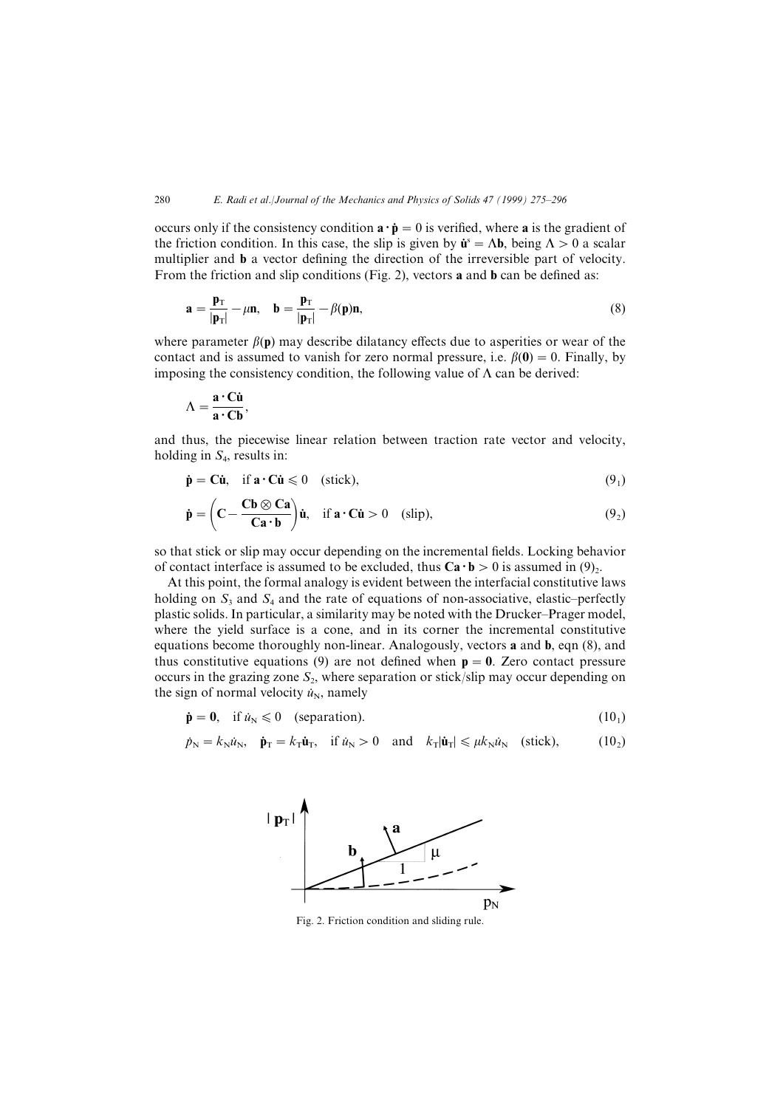occurs only if the consistency condition  $\mathbf{a} \cdot \dot{\mathbf{p}} = 0$  is verified, where a is the gradient of the friction condition. In this case, the slip is given by  $\mathbf{u}^s = \Lambda \mathbf{b}$ , being  $\Lambda > 0$  a scalar multiplier and  **a vector defining the direction of the irreversible part of velocity.** From the friction and slip conditions (Fig. 2), vectors  $\bf{a}$  and  $\bf{b}$  can be defined as:

$$
\mathbf{a} = \frac{\mathbf{p}_{\mathrm{T}}}{|\mathbf{p}_{\mathrm{T}}|} - \mu \mathbf{n}, \quad \mathbf{b} = \frac{\mathbf{p}_{\mathrm{T}}}{|\mathbf{p}_{\mathrm{T}}|} - \beta(\mathbf{p})\mathbf{n}, \tag{8}
$$

where parameter  $\beta(\mathbf{p})$  may describe dilatancy effects due to asperities or wear of the contact and is assumed to vanish for zero normal pressure, i.e.  $\beta(0) = 0$ . Finally, by imposing the consistency condition, the following value of  $\Lambda$  can be derived:

$$
\Lambda = \frac{\mathbf{a} \cdot \mathbf{C} \mathbf{\dot{u}}}{\mathbf{a} \cdot \mathbf{C} \mathbf{b}},
$$

and thus, the piecewise linear relation between traction rate vector and velocity, holding in  $S_4$ , results in:

$$
\dot{\mathbf{p}} = \mathbf{C}\dot{\mathbf{u}}, \quad \text{if } \mathbf{a} \cdot \mathbf{C}\dot{\mathbf{u}} \leq 0 \quad \text{(stick)}, \tag{9_1}
$$

$$
\dot{\mathbf{p}} = \left(\mathbf{C} - \frac{\mathbf{C}\mathbf{b} \otimes \mathbf{C}\mathbf{a}}{\mathbf{C}\mathbf{a} \cdot \mathbf{b}}\right) \dot{\mathbf{u}}, \quad \text{if } \mathbf{a} \cdot \mathbf{C}\dot{\mathbf{u}} > 0 \quad \text{(slip)}, \tag{92}
$$

so that stick or slip may occur depending on the incremental fields. Locking behavior of contact interface is assumed to be excluded, thus  $\text{Ca} \cdot \text{b} > 0$  is assumed in (9).

At this point, the formal analogy is evident between the interfacial constitutive laws holding on  $S_3$  and  $S_4$  and the rate of equations of non-associative, elastic–perfectly plastic solids. In particular, a similarity may be noted with the Drucker–Prager model, where the yield surface is a cone, and in its corner the incremental constitutive equations become thoroughly non-linear. Analogously, vectors **a** and **b**, eqn  $(8)$ , and thus constitutive equations (9) are not defined when  $p=0$ . Zero contact pressure occurs in the grazing zone  $S_2$ , where separation or stick/slip may occur depending on the sign of normal velocity  $\dot{u}_N$ , namely

$$
\dot{\mathbf{p}} = \mathbf{0}, \quad \text{if } \dot{u}_{N} \leq 0 \quad \text{(separation).} \tag{10_1}
$$

$$
\dot{p}_{\rm N} = k_{\rm N} \dot{u}_{\rm N}, \quad \dot{\mathbf{p}}_{\rm T} = k_{\rm T} \dot{\mathbf{u}}_{\rm T}, \quad \text{if } \dot{u}_{\rm N} > 0 \quad \text{and} \quad k_{\rm T} |\dot{\mathbf{u}}_{\rm T}| \leqslant \mu k_{\rm N} \dot{u}_{\rm N} \quad \text{(stick)}, \tag{10}_2
$$



Fig. 2. Friction condition and sliding rule.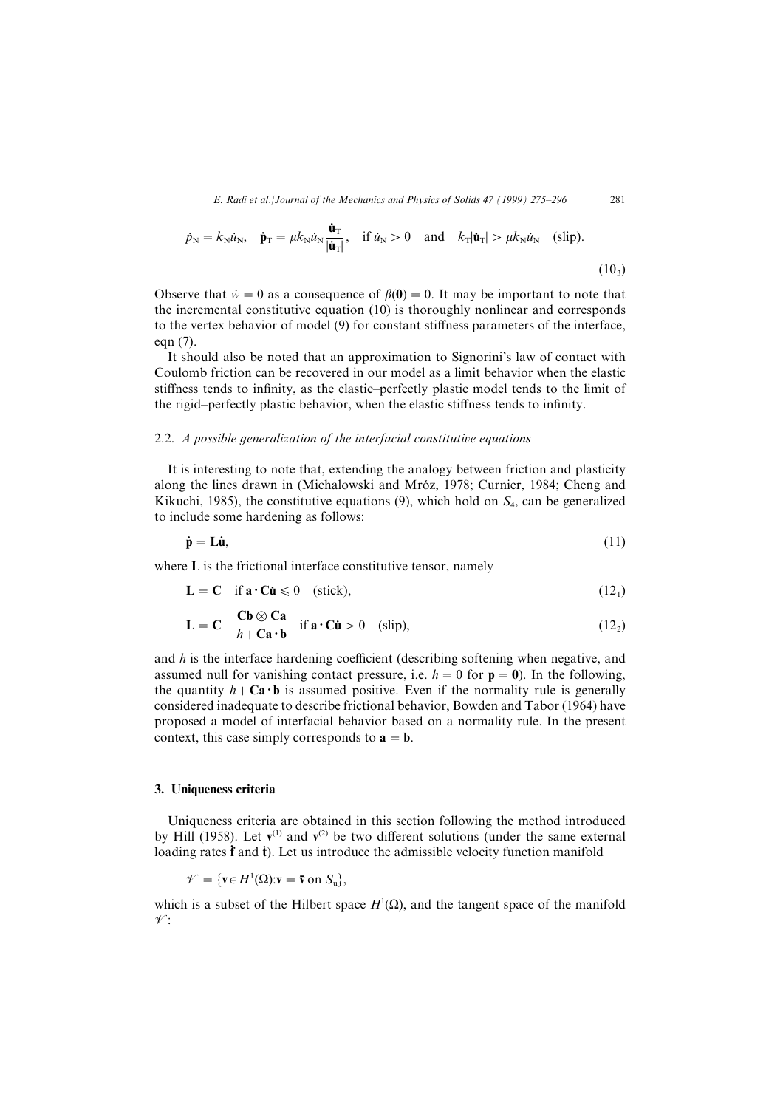$$
\dot{p}_{\rm N} = k_{\rm N} \dot{u}_{\rm N}, \quad \dot{\mathbf{p}}_{\rm T} = \mu k_{\rm N} \dot{u}_{\rm N} \frac{\dot{\mathbf{u}}_{\rm T}}{|\dot{\mathbf{u}}_{\rm T}|}, \quad \text{if } \dot{u}_{\rm N} > 0 \quad \text{and} \quad k_{\rm T} |\dot{\mathbf{u}}_{\rm T}| > \mu k_{\rm N} \dot{u}_{\rm N} \quad \text{(slip)}.
$$
\n
$$
(10_3)
$$

Observe that  $\dot{w} = 0$  as a consequence of  $\beta(0) = 0$ . It may be important to note that the incremental constitutive equation  $(10)$  is thoroughly nonlinear and corresponds to the vertex behavior of model  $(9)$  for constant stiffness parameters of the interface, eqn  $(7)$ .

It should also be noted that an approximation to Signorini's law of contact with Coulomb friction can be recovered in our model as a limit behavior when the elastic stiffness tends to infinity, as the elastic–perfectly plastic model tends to the limit of the rigid–perfectly plastic behavior, when the elastic stiffness tends to infinity.

#### 2.2. A possible generalization of the interfacial constitutive equations

It is interesting to note that, extending the analogy between friction and plasticity along the lines drawn in (Michalowski and Mróz, 1978; Curnier, 1984; Cheng and Kikuchi, 1985), the constitutive equations (9), which hold on  $S_4$ , can be generalized to include some hardening as follows:

$$
\dot{\mathbf{p}} = \mathbf{L}\dot{\mathbf{u}},\tag{11}
$$

where  $L$  is the frictional interface constitutive tensor, namely

$$
\mathbf{L} = \mathbf{C} \quad \text{if } \mathbf{a} \cdot \mathbf{C} \dot{\mathbf{u}} \leq 0 \quad \text{(stick)},\tag{12}
$$

$$
\mathbf{L} = \mathbf{C} - \frac{\mathbf{C}\mathbf{b} \otimes \mathbf{C}\mathbf{a}}{h + \mathbf{C}\mathbf{a} \cdot \mathbf{b}} \quad \text{if } \mathbf{a} \cdot \mathbf{C}\mathbf{u} > 0 \quad \text{(slip)}, \tag{12}_2
$$

and  $h$  is the interface hardening coefficient (describing softening when negative, and assumed null for vanishing contact pressure, i.e.  $h = 0$  for  $p = 0$ ). In the following, the quantity  $h + \mathbf{Ca} \cdot \mathbf{b}$  is assumed positive. Even if the normality rule is generally considered inadequate to describe frictional behavior, Bowden and Tabor (1964) have proposed a model of interfacial behavior based on a normality rule. In the present context, this case simply corresponds to  $a = b$ .

#### 3. Uniqueness criteria

Uniqueness criteria are obtained in this section following the method introduced by Hill (1958). Let  $v^{(1)}$  and  $v^{(2)}$  be two different solutions (under the same external loading rates  $\dot{f}$  and  $\dot{t}$ ). Let us introduce the admissible velocity function manifold

$$
\mathscr{V} = \{ \mathbf{v} \in H^1(\Omega) : \mathbf{v} = \overline{\mathbf{v}} \text{ on } S_u \},
$$

which is a subset of the Hilbert space  $H^1(\Omega)$ , and the tangent space of the manifold  $\mathscr{V}$ :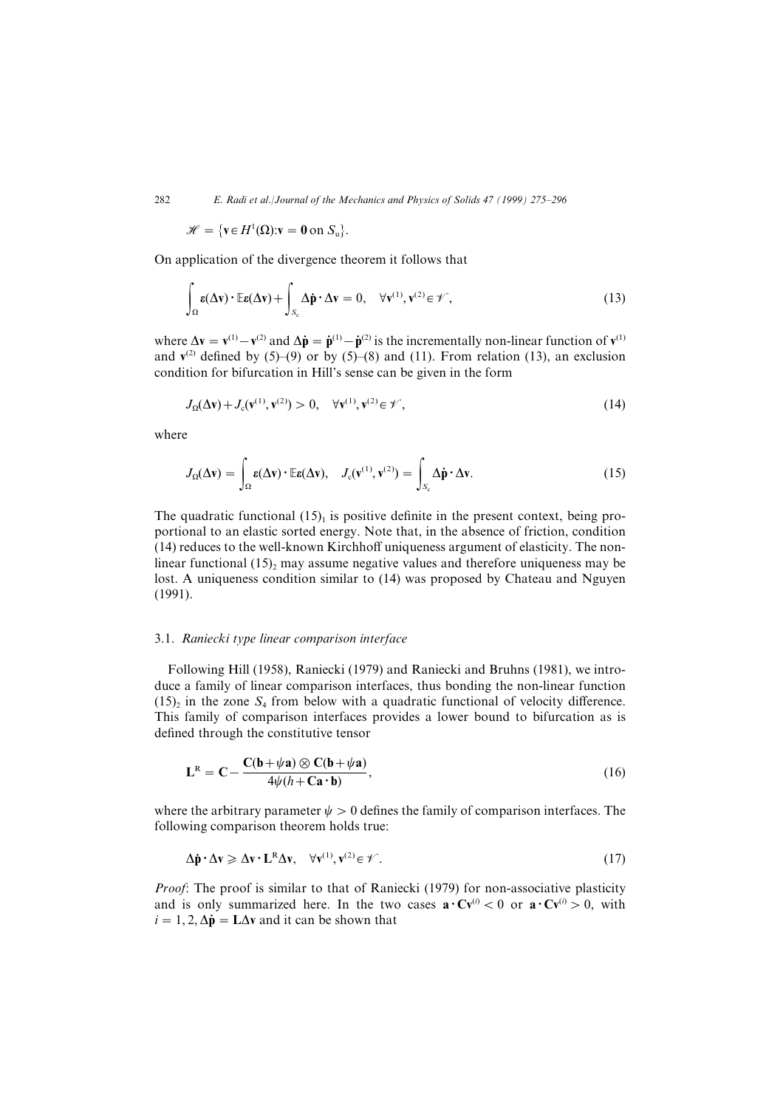$\mathscr{H} = \{ \mathbf{v} \in H^1(\Omega): \mathbf{v} = \mathbf{0} \text{ on } S_u \}.$ 

On application of the divergence theorem it follows that

$$
\int_{\Omega} \mathbf{g}(\Delta \mathbf{v}) \cdot \mathbb{E} \mathbf{g}(\Delta \mathbf{v}) + \int_{S_c} \Delta \dot{\mathbf{p}} \cdot \Delta \mathbf{v} = 0, \quad \forall \mathbf{v}^{(1)}, \mathbf{v}^{(2)} \in \mathscr{V},
$$
\n(13)

where  $\Delta v = v^{(1)} - v^{(2)}$  and  $\Delta \dot{\mathbf{p}} = \dot{\mathbf{p}}^{(1)} - \dot{\mathbf{p}}^{(2)}$  is the incrementally non-linear function of  $v^{(1)}$ and  $v^{(2)}$  defined by  $(5)-(9)$  or by  $(5)-(8)$  and  $(11)$ . From relation  $(13)$ , an exclusion condition for bifurcation in Hill's sense can be given in the form

$$
J_{\Omega}(\Delta \mathbf{v}) + J_{\mathbf{c}}(\mathbf{v}^{(1)}, \mathbf{v}^{(2)}) > 0, \quad \forall \mathbf{v}^{(1)}, \mathbf{v}^{(2)} \in \mathcal{V}, \tag{14}
$$

where

$$
J_{\Omega}(\Delta \mathbf{v}) = \int_{\Omega} \mathbf{\varepsilon}(\Delta \mathbf{v}) \cdot \mathbb{E} \mathbf{\varepsilon}(\Delta \mathbf{v}), \quad J_{\mathbf{c}}(\mathbf{v}^{(1)}, \mathbf{v}^{(2)}) = \int_{S_{\mathbf{c}}} \Delta \dot{\mathbf{p}} \cdot \Delta \mathbf{v}.
$$
 (15)

The quadratic functional  $(15)$  is positive definite in the present context, being proportional to an elastic sorted energy. Note that, in the absence of friction, condition  $(14)$  reduces to the well-known Kirchhoff uniqueness argument of elasticity. The nonlinear functional  $(15)$ , may assume negative values and therefore uniqueness may be lost. A uniqueness condition similar to  $(14)$  was proposed by Chateau and Nguyen  $(1991).$ 

# 3.1. Raniecki type linear comparison interface

Following Hill (1958), Raniecki (1979) and Raniecki and Bruhns (1981), we introduce a family of linear comparison interfaces, thus bonding the non-linear function  $(15)$ <sub>2</sub> in the zone S<sub>4</sub> from below with a quadratic functional of velocity difference. This family of comparison interfaces provides a lower bound to bifurcation as is defined through the constitutive tensor

$$
\mathbf{L}^{\mathbf{R}} = \mathbf{C} - \frac{\mathbf{C}(\mathbf{b} + \psi \mathbf{a}) \otimes \mathbf{C}(\mathbf{b} + \psi \mathbf{a})}{4\psi(h + \mathbf{C}\mathbf{a} \cdot \mathbf{b})},
$$
(16)

where the arbitrary parameter  $\psi>0$  defines the family of comparison interfaces. The following comparison theorem holds true:

$$
\Delta \dot{\mathbf{p}} \cdot \Delta \mathbf{v} \ge \Delta \mathbf{v} \cdot \mathbf{L}^{\mathbf{R}} \Delta \mathbf{v}, \quad \forall \mathbf{v}^{(1)}, \mathbf{v}^{(2)} \in \mathcal{V} \,.
$$

*Proof*: The proof is similar to that of Raniecki  $(1979)$  for non-associative plasticity and is only summarized here. In the two cases  $\mathbf{a} \cdot \mathbf{C} \mathbf{v}^{(i)} < 0$  or  $\mathbf{a} \cdot \mathbf{C} \mathbf{v}^{(i)} > 0$ , with  $i=1,2, \Delta \dot{\mathbf{p}} = \mathbf{L}\Delta \mathbf{v}$  and it can be shown that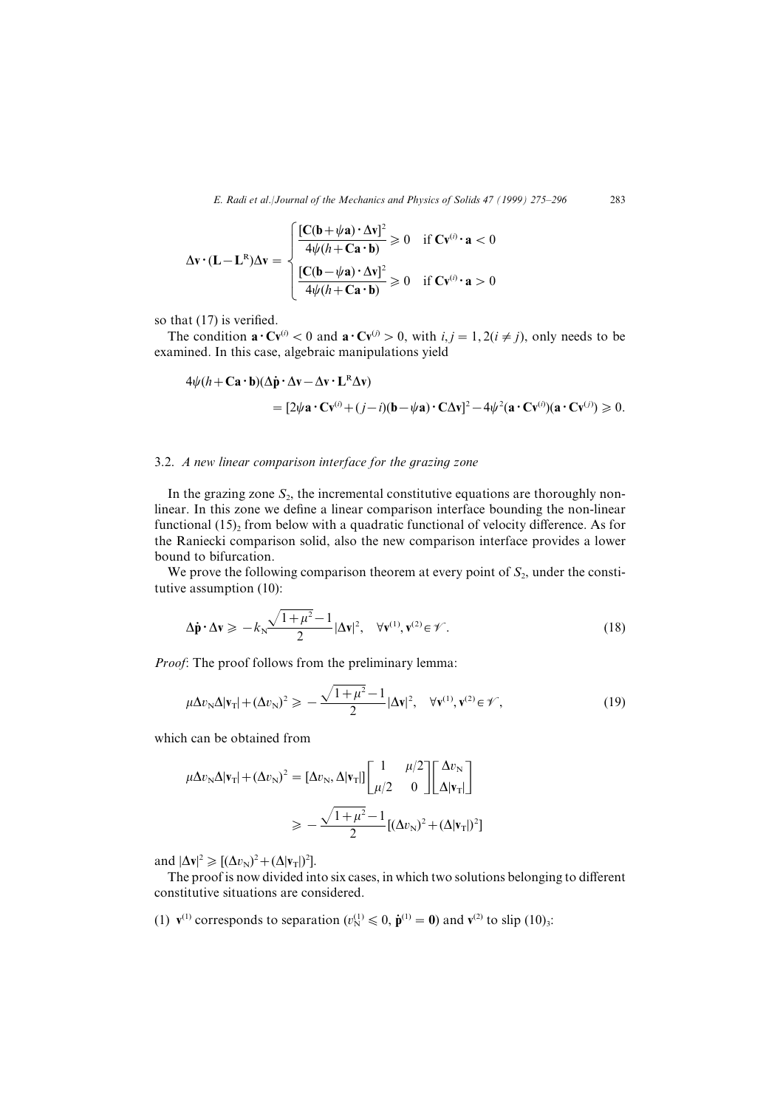$$
\Delta \mathbf{v} \cdot (\mathbf{L} - \mathbf{L}^{\mathbf{R}}) \Delta \mathbf{v} = \begin{cases} \frac{[\mathbf{C}(\mathbf{b} + \psi \mathbf{a}) \cdot \Delta \mathbf{v}]^2}{4\psi (h + \mathbf{C} \mathbf{a} \cdot \mathbf{b})} \ge 0 & \text{if } \mathbf{C} \mathbf{v}^{(i)} \cdot \mathbf{a} < 0\\ \frac{[\mathbf{C}(\mathbf{b} - \psi \mathbf{a}) \cdot \Delta \mathbf{v}]^2}{4\psi (h + \mathbf{C} \mathbf{a} \cdot \mathbf{b})} \ge 0 & \text{if } \mathbf{C} \mathbf{v}^{(i)} \cdot \mathbf{a} > 0 \end{cases}
$$

so that  $(17)$  is verified.

The condition  $\mathbf{a} \cdot \mathbf{C} \mathbf{v}^{(i)} < 0$  and  $\mathbf{a} \cdot \mathbf{C} \mathbf{v}^{(j)} > 0$ , with  $i, j = 1, 2(i \neq j)$ , only needs to be examined. In this case, algebraic manipulations yield

$$
4\psi(h + \mathbf{Ca} \cdot \mathbf{b})(\Delta \dot{\mathbf{p}} \cdot \Delta \mathbf{v} - \Delta \mathbf{v} \cdot \mathbf{L}^R \Delta \mathbf{v})
$$
  
= 
$$
[2\psi \mathbf{a} \cdot \mathbf{C} \mathbf{v}^{(i)} + (j - i)(\mathbf{b} - \psi \mathbf{a}) \cdot \mathbf{C} \Delta \mathbf{v}]^2 - 4\psi^2 (\mathbf{a} \cdot \mathbf{C} \mathbf{v}^{(i)}) (\mathbf{a} \cdot \mathbf{C} \mathbf{v}^{(j)}) \ge 0.
$$

# $3.2.$  A new linear comparison interface for the grazing zone

In the grazing zone  $S_2$ , the incremental constitutive equations are thoroughly nonlinear. In this zone we define a linear comparison interface bounding the non-linear functional  $(15)$ <sub>2</sub> from below with a quadratic functional of velocity difference. As for the Raniecki comparison solid, also the new comparison interface provides a lower bound to bifurcation.

We prove the following comparison theorem at every point of  $S_2$ , under the constitutive assumption  $(10)$ :

$$
\Delta \dot{\mathbf{p}} \cdot \Delta \mathbf{v} \geqslant -k_{\mathrm{N}} \frac{\sqrt{1+\mu^2}-1}{2} |\Delta \mathbf{v}|^2, \quad \forall \mathbf{v}^{(1)}, \mathbf{v}^{(2)} \in \mathscr{V}.
$$
 (18)

*Proof*: The proof follows from the preliminary lemma:

$$
\mu \Delta v_{\rm N} \Delta |\mathbf{v}_{\rm T}| + (\Delta v_{\rm N})^2 \geqslant -\frac{\sqrt{1+\mu^2}-1}{2} |\Delta \mathbf{v}|^2, \quad \forall \mathbf{v}^{(1)}, \mathbf{v}^{(2)} \in \mathscr{V}, \tag{19}
$$

which can be obtained from

$$
\mu \Delta v_{\rm N} \Delta |\mathbf{v}_{\rm T}| + (\Delta v_{\rm N})^2 = [\Delta v_{\rm N}, \Delta |\mathbf{v}_{\rm T}|] \begin{bmatrix} 1 & \mu/2 \\ \mu/2 & 0 \end{bmatrix} \begin{bmatrix} \Delta v_{\rm N} \\ \Delta |\mathbf{v}_{\rm T}| \end{bmatrix}
$$

$$
\geq -\frac{\sqrt{1 + \mu^2} - 1}{2} [(\Delta v_{\rm N})^2 + (\Delta |\mathbf{v}_{\rm T}|)^2]
$$

and  $|\Delta \mathbf{v}|^2 \geqslant [(\Delta v_N)^2 + (\Delta |\mathbf{v}_T|)^2].$ 

The proof is now divided into six cases, in which two solutions belonging to different constitutive situations are considered.

(1)  $\mathbf{v}^{(1)}$  corresponds to separation  $(v_N^{(1)} \le 0, \dot{\mathbf{p}}^{(1)} = 0)$  and  $\mathbf{v}^{(2)}$  to slip (10)<sub>3</sub>: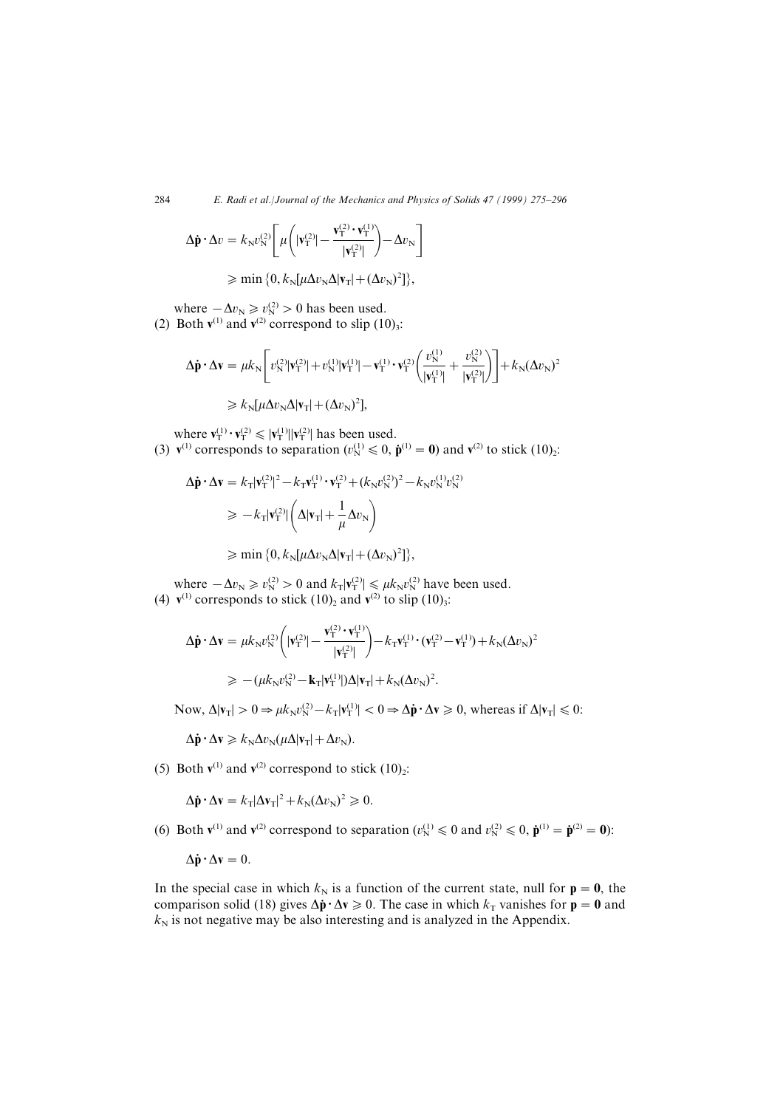$$
\Delta \dot{\mathbf{p}} \cdot \Delta v = k_{\mathrm{N}} v_{\mathrm{N}}^{(2)} \left[ \mu \left( |\mathbf{v}_{\mathrm{T}}^{(2)}| - \frac{\mathbf{v}_{\mathrm{T}}^{(2)} \cdot \mathbf{v}_{\mathrm{T}}^{(1)}}{|\mathbf{v}_{\mathrm{T}}^{(2)}|} \right) - \Delta v_{\mathrm{N}} \right]
$$

$$
\geqslant \min\big\{0,k_{\mathrm{N}}[\mu\Delta v_{\mathrm{N}}\Delta|\mathbf{v}_{\mathrm{T}}|+(\Delta v_{\mathrm{N}})^{2}]\big\},
$$

where  $-\Delta v_{\rm N} \ge v_{\rm N}^{(2)} > 0$  has been used.

(2) Both  $\mathbf{v}^{(1)}$  and  $\mathbf{v}^{(2)}$  correspond to slip  $(10)_3$ :

$$
\Delta \dot{\mathbf{p}} \cdot \Delta \mathbf{v} = \mu k_{\mathrm{N}} \left[ v_{\mathrm{N}}^{(2)} |\mathbf{v}_{\mathrm{T}}^{(2)}| + v_{\mathrm{N}}^{(1)} |\mathbf{v}_{\mathrm{T}}^{(1)}| - \mathbf{v}_{\mathrm{T}}^{(1)} \cdot \mathbf{v}_{\mathrm{T}}^{(2)} \left( \frac{v_{\mathrm{N}}^{(1)}}{|\mathbf{v}_{\mathrm{T}}^{(1)}|} + \frac{v_{\mathrm{N}}^{(2)}}{|\mathbf{v}_{\mathrm{T}}^{(2)}|} \right) \right] + k_{\mathrm{N}} (\Delta v_{\mathrm{N}})^{2}
$$
  
\$\geq k\_{\mathrm{N}} [\mu \Delta v\_{\mathrm{N}} \Delta |\mathbf{v}\_{\mathrm{T}}| + (\Delta v\_{\mathrm{N}})^{2}],

where  $\mathbf{v}_T^{(1)} \cdot \mathbf{v}_T^{(2)} \leqslant |\mathbf{v}_T^{(1)}||\mathbf{v}_T^{(2)}|$  has been used. (3)  $\mathbf{v}^{(1)}$  corresponds to separation ( $v_N^{(1)} \le 0$ ,  $\dot{\mathbf{p}}^{(1)} = 0$ ) and  $\mathbf{v}^{(2)}$  to stick (10)<sub>2</sub>:

$$
\Delta \dot{\mathbf{p}} \cdot \Delta \mathbf{v} = k_{\mathrm{T}} |\mathbf{v}_{\mathrm{T}}^{(2)}|^2 - k_{\mathrm{T}} \mathbf{v}_{\mathrm{T}}^{(1)} \cdot \mathbf{v}_{\mathrm{T}}^{(2)} + (k_{\mathrm{N}} v_{\mathrm{N}}^{(2)})^2 - k_{\mathrm{N}} v_{\mathrm{N}}^{(1)} v_{\mathrm{N}}^{(2)}
$$
  
\n
$$
\geq -k_{\mathrm{T}} |\mathbf{v}_{\mathrm{T}}^{(2)}| \left( \Delta |\mathbf{v}_{\mathrm{T}}| + \frac{1}{\mu} \Delta v_{\mathrm{N}} \right)
$$

 $\geqslant \min\left\{0, k_{\text{N}}[\mu \Delta v_{\text{N}}\Delta |\mathbf{v}_{\text{T}}| + (\Delta v_{\text{N}})^2]\right\},$ 

where  $-\Delta v_{\rm N} \ge v_{\rm N}^{(2)} > 0$  and  $k_{\rm T} |\mathbf{v}_{\rm T}^{(2)}| \le \mu k_{\rm N} v_{\rm N}^{(2)}$  have been used. (4)  $v^{(1)}$  corresponds to stick  $(10)_2$  and  $v^{(2)}$  to slip  $(10)_3$ :

$$
\Delta \dot{\mathbf{p}} \cdot \Delta \mathbf{v} = \mu k_{\mathrm{N}} v_{\mathrm{N}}^{(2)} \left( |\mathbf{v}_{\mathrm{T}}^{(2)}| - \frac{\mathbf{v}_{\mathrm{T}}^{(2)} \cdot \mathbf{v}_{\mathrm{T}}^{(1)}}{|\mathbf{v}_{\mathrm{T}}^{(2)}|} \right) - k_{\mathrm{T}} \mathbf{v}_{\mathrm{T}}^{(1)} \cdot (\mathbf{v}_{\mathrm{T}}^{(2)} - \mathbf{v}_{\mathrm{T}}^{(1)}) + k_{\mathrm{N}} (\Delta v_{\mathrm{N}})^{2}
$$
  
\n
$$
\geq -(\mu k_{\mathrm{N}} v_{\mathrm{N}}^{(2)} - \mathbf{k}_{\mathrm{T}} |\mathbf{v}_{\mathrm{T}}^{(1)}|) \Delta |\mathbf{v}_{\mathrm{T}}| + k_{\mathrm{N}} (\Delta v_{\mathrm{N}})^{2}.
$$

Now,  $\Delta |\mathbf{v}_{\mathrm{T}}| > 0 \Rightarrow \mu k_{\mathrm{N}} v_{\mathrm{N}}^{(2)} - k_{\mathrm{T}} |\mathbf{v}_{\mathrm{T}}^{(1)}| < 0 \Rightarrow \Delta \dot{\mathbf{p}} \cdot \Delta \mathbf{v} \ge 0$ , whereas if  $\Delta |\mathbf{v}_{\mathrm{T}}| \le 0$ :

 $\Delta \dot{\mathbf{p}} \cdot \Delta \mathbf{v} \geq k_{\text{N}} \Delta v_{\text{N}} (\mu \Delta |\mathbf{v}_{\text{T}}| + \Delta v_{\text{N}}).$ 

(5) Both  $\mathbf{v}^{(1)}$  and  $\mathbf{v}^{(2)}$  correspond to stick  $(10)_2$ :

$$
\Delta \dot{\mathbf{p}} \cdot \Delta \mathbf{v} = k_{\mathrm{T}} |\Delta \mathbf{v}_{\mathrm{T}}|^2 + k_{\mathrm{N}} (\Delta v_{\mathrm{N}})^2 \geqslant 0.
$$

(6) Both  $v^{(1)}$  and  $v^{(2)}$  correspond to separation  $(v_N^{(1)} \le 0$  and  $v_N^{(2)} \le 0$ ,  $\dot{\mathbf{p}}^{(1)} = \dot{\mathbf{p}}^{(2)} = \mathbf{0}$ ):

 $\Delta \dot{\mathbf{p}} \cdot \Delta \mathbf{v} = 0.$ 

In the special case in which  $k_N$  is a function of the current state, null for  $p=0$ , the comparison solid (18) gives  $\Delta \dot{p} \cdot \Delta v \geq 0$ . The case in which  $k_T$  vanishes for  $p = 0$  and  $k_N$  is not negative may be also interesting and is analyzed in the Appendix.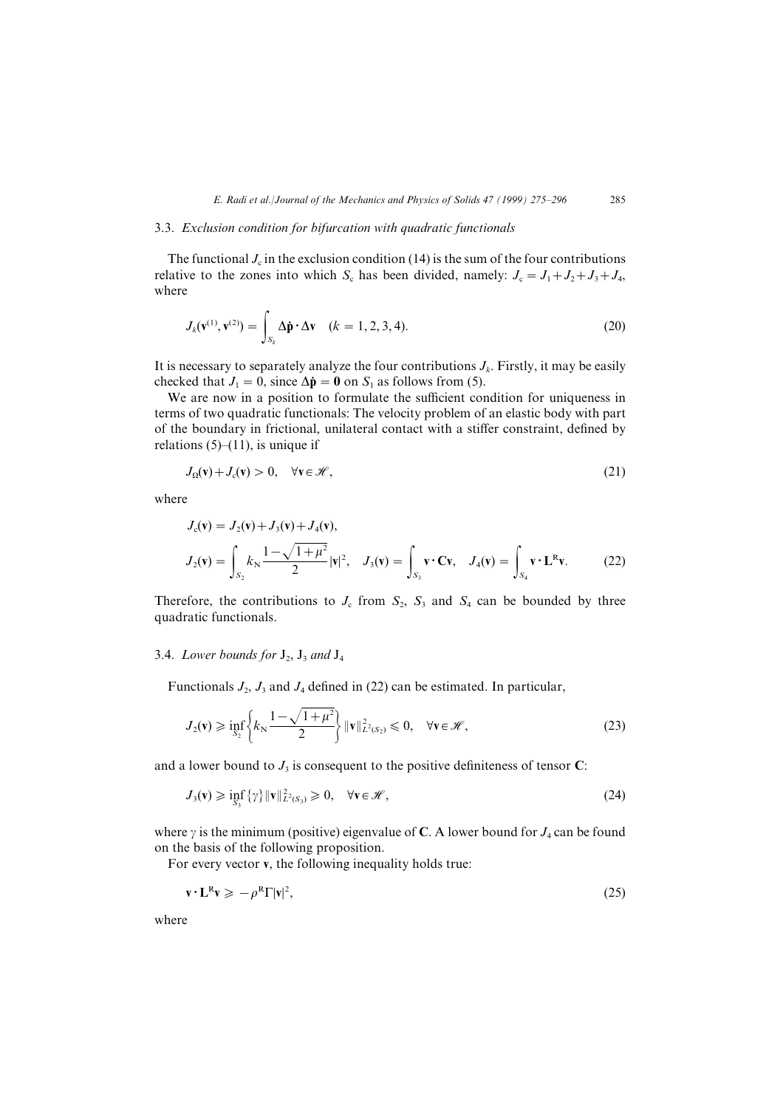## 3.3. Exclusion condition for bifurcation with quadratic functionals

The functional  $J_c$  in the exclusion condition (14) is the sum of the four contributions relative to the zones into which  $S_c$  has been divided, namely:  $J_c = J_1 + J_2 + J_3 + J_4$ , where

$$
J_k(\mathbf{v}^{(1)}, \mathbf{v}^{(2)}) = \int_{S_k} \Delta \dot{\mathbf{p}} \cdot \Delta \mathbf{v} \quad (k = 1, 2, 3, 4). \tag{20}
$$

It is necessary to separately analyze the four contributions  $J_k$ . Firstly, it may be easily checked that  $J_1 = 0$ , since  $\Delta \dot{\mathbf{p}} = \mathbf{0}$  on  $S_1$  as follows from (5).

We are now in a position to formulate the sufficient condition for uniqueness in terms of two quadratic functionals] The velocity problem of an elastic body with part of the boundary in frictional, unilateral contact with a stiffer constraint, defined by relations  $(5)$ – $(11)$ , is unique if

$$
J_{\Omega}(v) + J_c(v) > 0, \quad \forall v \in \mathcal{H}, \tag{21}
$$

where

$$
J_c(\mathbf{v}) = J_2(\mathbf{v}) + J_3(\mathbf{v}) + J_4(\mathbf{v}),
$$
  
\n
$$
J_2(\mathbf{v}) = \int_{S_2} k_{\rm N} \frac{1 - \sqrt{1 + \mu^2}}{2} |\mathbf{v}|^2, \quad J_3(\mathbf{v}) = \int_{S_3} \mathbf{v} \cdot \mathbf{C} \mathbf{v}, \quad J_4(\mathbf{v}) = \int_{S_4} \mathbf{v} \cdot \mathbf{L}^{\rm R} \mathbf{v}.
$$
 (22)

Therefore, the contributions to  $J_c$  from  $S_2$ ,  $S_3$  and  $S_4$  can be bounded by three quadratic functionals.

# 3.4. Lower bounds for  $J_2$ ,  $J_3$  and  $J_4$

Functionals  $J_2$ ,  $J_3$  and  $J_4$  defined in (22) can be estimated. In particular,

$$
J_2(\mathbf{v}) \ge \inf_{S_2} \left\{ k_N \frac{1 - \sqrt{1 + \mu^2}}{2} \right\} \|\mathbf{v}\|_{L^2(S_2)}^2 \le 0, \quad \forall \mathbf{v} \in \mathcal{H},
$$
\n(23)

and a lower bound to  $J_3$  is consequent to the positive definiteness of tensor C:

$$
J_3(\mathbf{v}) \geq \inf_{S_3} \{ \gamma \} \|\mathbf{v}\|_{L^2(S_3)}^2 \geq 0, \quad \forall \mathbf{v} \in \mathcal{H},
$$
\n(24)

where  $\gamma$  is the minimum (positive) eigenvalue of C. A lower bound for  $J_4$  can be found on the basis of the following proposition.

For every vector  $\bf{v}$ , the following inequality holds true:

$$
\mathbf{v} \cdot \mathbf{L}^{\mathbf{R}} \mathbf{v} \geqslant -\rho^{\mathbf{R}} \Gamma |\mathbf{v}|^2,\tag{25}
$$

where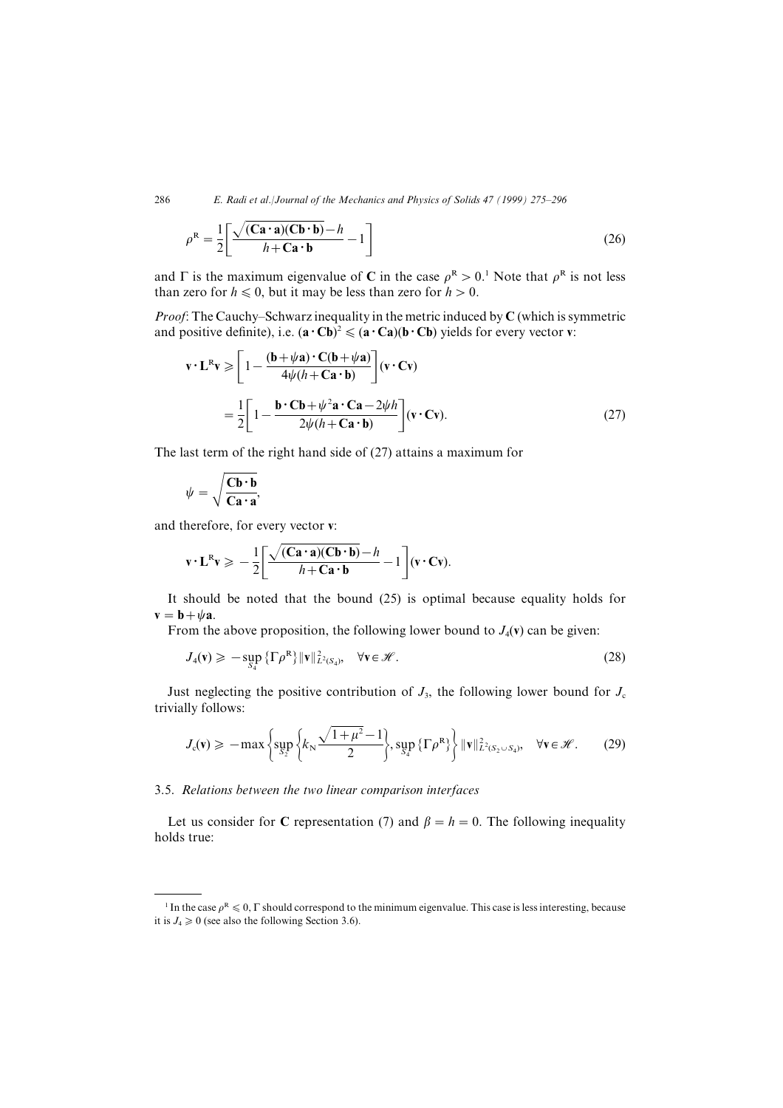$$
\rho^{\mathbf{R}} = \frac{1}{2} \left[ \frac{\sqrt{(\mathbf{C}\mathbf{a} \cdot \mathbf{a})(\mathbf{C}\mathbf{b} \cdot \mathbf{b})} - h}{h + \mathbf{C}\mathbf{a} \cdot \mathbf{b}} - 1 \right]
$$
(26)

and  $\Gamma$  is the maximum eigenvalue of C in the case  $\rho^R > 0$ .<sup>1</sup> Note that  $\rho^R$  is not less than zero for  $h \leq 0$ , but it may be less than zero for  $h > 0$ .

*Proof*: The Cauchy–Schwarz inequality in the metric induced by  $C$  (which is symmetric and positive definite), i.e.  $(\mathbf{a} \cdot \mathbf{C} \mathbf{b})^2 \leq (\mathbf{a} \cdot \mathbf{C} \mathbf{a})(\mathbf{b} \cdot \mathbf{C} \mathbf{b})$  yields for every vector v:

$$
\mathbf{v} \cdot \mathbf{L}^{\mathbf{R}} \mathbf{v} \geqslant \left[ 1 - \frac{(\mathbf{b} + \psi \mathbf{a}) \cdot \mathbf{C}(\mathbf{b} + \psi \mathbf{a})}{4\psi (h + \mathbf{C} \mathbf{a} \cdot \mathbf{b})} \right] (\mathbf{v} \cdot \mathbf{C} \mathbf{v})
$$
\n
$$
= \frac{1}{2} \left[ 1 - \frac{\mathbf{b} \cdot \mathbf{C} \mathbf{b} + \psi^2 \mathbf{a} \cdot \mathbf{C} \mathbf{a} - 2\psi h}{2\psi (h + \mathbf{C} \mathbf{a} \cdot \mathbf{b})} \right] (\mathbf{v} \cdot \mathbf{C} \mathbf{v}). \tag{27}
$$

The last term of the right hand side of  $(27)$  attains a maximum for

$$
\psi = \sqrt{\frac{Cb \cdot b}{Ca \cdot a}}
$$

and therefore, for every vector v:

$$
\mathbf{v} \cdot \mathbf{L}^{\mathrm{R}} \mathbf{v} \geqslant -\frac{1}{2} \bigg[ \frac{\sqrt{(\mathbf{C} \mathbf{a} \cdot \mathbf{a})(\mathbf{C} \mathbf{b} \cdot \mathbf{b})} - h}{h + \mathbf{C} \mathbf{a} \cdot \mathbf{b}} - 1 \bigg] (\mathbf{v} \cdot \mathbf{C} \mathbf{v}).
$$

It should be noted that the bound  $(25)$  is optimal because equality holds for  $\mathbf{v} = \mathbf{b} + \psi \mathbf{a}$ .

From the above proposition, the following lower bound to  $J_4$ (v) can be given:

$$
J_4(\mathbf{v}) \geqslant -\sup_{S_4} \{ \Gamma \rho^R \} \|\mathbf{v}\|_{L^2(S_4)}^2, \quad \forall \mathbf{v} \in \mathcal{H}.
$$
 (28)

Just neglecting the positive contribution of  $J_3$ , the following lower bound for  $J_c$ trivially follows:

$$
J_{c}(\mathbf{v}) \geqslant -\max\left\{\sup_{S_{2}^{\circ}}\left\{k_{N}\frac{\sqrt{1+\mu^{2}}-1}{2}\right\},\sup_{S_{4}^{\circ}}\left\{\Gamma\rho^{\mathbf{R}}\right\}\right\}\|\mathbf{v}\|_{L^{2}(S_{2}\cup S_{4})}^{2},\quad\forall\mathbf{v}\in\mathscr{H}.
$$
 (29)

### 3.5. Relations between the two linear comparison interfaces

Let us consider for C representation (7) and  $\beta = h = 0$ . The following inequality holds true:

<sup>&</sup>lt;sup>1</sup> In the case  $\rho^R \leq 0$ ,  $\Gamma$  should correspond to the minimum eigenvalue. This case is less interesting, because it is  $J_4 \geq 0$  (see also the following Section 3.6).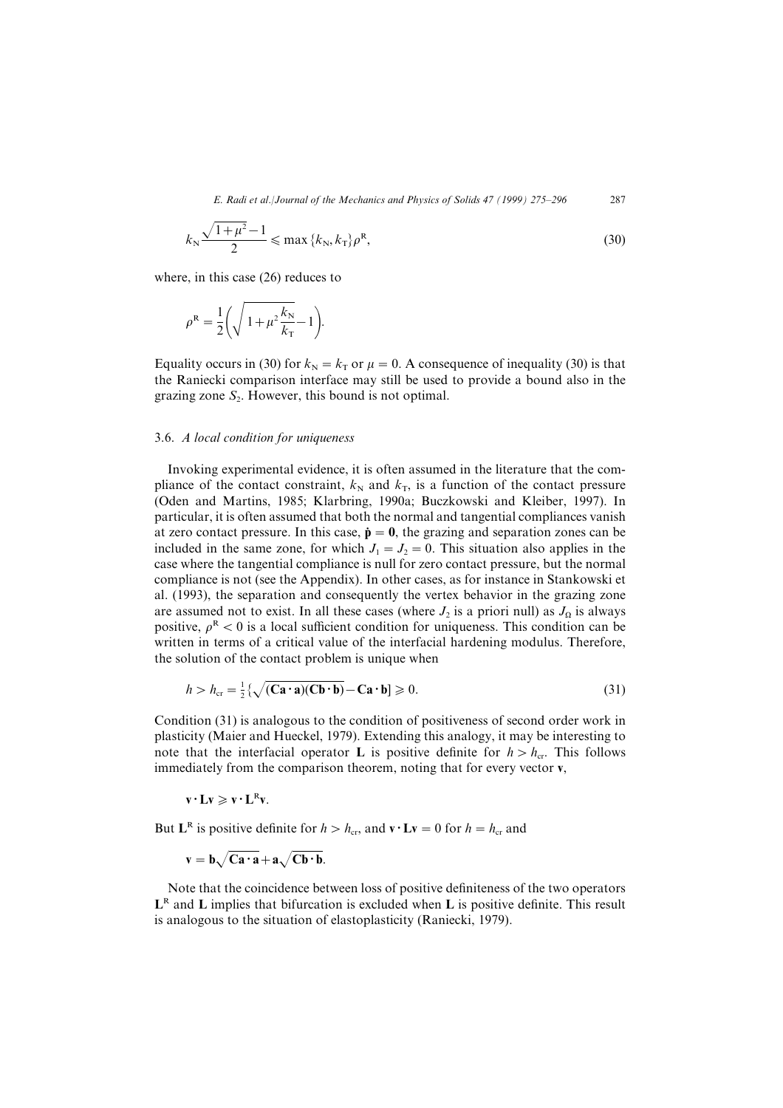$$
k_{\rm N} \frac{\sqrt{1+\mu^2}-1}{2} \leqslant \max\left\{k_{\rm N}, k_{\rm T}\right\} \rho^{\rm R},\tag{30}
$$

where, in this case  $(26)$  reduces to

$$
\rho^{\rm R} = \frac{1}{2} \left( \sqrt{1 + \mu^2 \frac{k_{\rm N}}{k_{\rm T}}} - 1 \right).
$$

Equality occurs in (30) for  $k_N = k_T$  or  $\mu = 0$ . A consequence of inequality (30) is that the Raniecki comparison interface may still be used to provide a bound also in the grazing zone  $S_2$ . However, this bound is not optimal.

#### 3.6. A local condition for uniqueness

Invoking experimental evidence, it is often assumed in the literature that the compliance of the contact constraint,  $k_N$  and  $k_T$ , is a function of the contact pressure (Oden and Martins, 1985; Klarbring, 1990a; Buczkowski and Kleiber, 1997). In particular, it is often assumed that both the normal and tangential compliances vanish at zero contact pressure. In this case,  $\dot{\mathbf{p}} = \mathbf{0}$ , the grazing and separation zones can be included in the same zone, for which  $J_1 = J_2 = 0$ . This situation also applies in the case where the tangential compliance is null for zero contact pressure\ but the normal compliance is not (see the Appendix). In other cases, as for instance in Stankowski et al. (1993), the separation and consequently the vertex behavior in the grazing zone are assumed not to exist. In all these cases (where  $J_2$  is a priori null) as  $J_\Omega$  is always positive,  $\rho^R$  < 0 is a local sufficient condition for uniqueness. This condition can be written in terms of a critical value of the interfacial hardening modulus. Therefore, the solution of the contact problem is unique when

$$
h > h_{\rm cr} = \frac{1}{2} \{ \sqrt{(\mathbf{C}\mathbf{a} \cdot \mathbf{a})(\mathbf{C}\mathbf{b} \cdot \mathbf{b})} - \mathbf{C}\mathbf{a} \cdot \mathbf{b} \} \ge 0. \tag{31}
$$

Condition  $(31)$  is analogous to the condition of positiveness of second order work in plasticity (Maier and Hueckel, 1979). Extending this analogy, it may be interesting to note that the interfacial operator **L** is positive definite for  $h > h_{cr}$ . This follows immediately from the comparison theorem, noting that for every vector  $\mathbf{v}$ ,

$$
v\mathbf{\cdot} L v\geqslant v\mathbf{\cdot} L^R v.
$$

But  $L^R$  is positive definite for  $h > h_{cr}$ , and  $\mathbf{v} \cdot \mathbf{L} \mathbf{v} = 0$  for  $h = h_{cr}$  and

$$
\mathbf{v} = \mathbf{b}\sqrt{\mathbf{C}}\mathbf{a}\cdot\mathbf{a} + \mathbf{a}\sqrt{\mathbf{C}}\mathbf{b}\cdot\mathbf{b}.
$$

Note that the coincidence between loss of positive definiteness of the two operators  $L^R$  and L implies that bifurcation is excluded when L is positive definite. This result is analogous to the situation of elastoplasticity (Raniecki, 1979).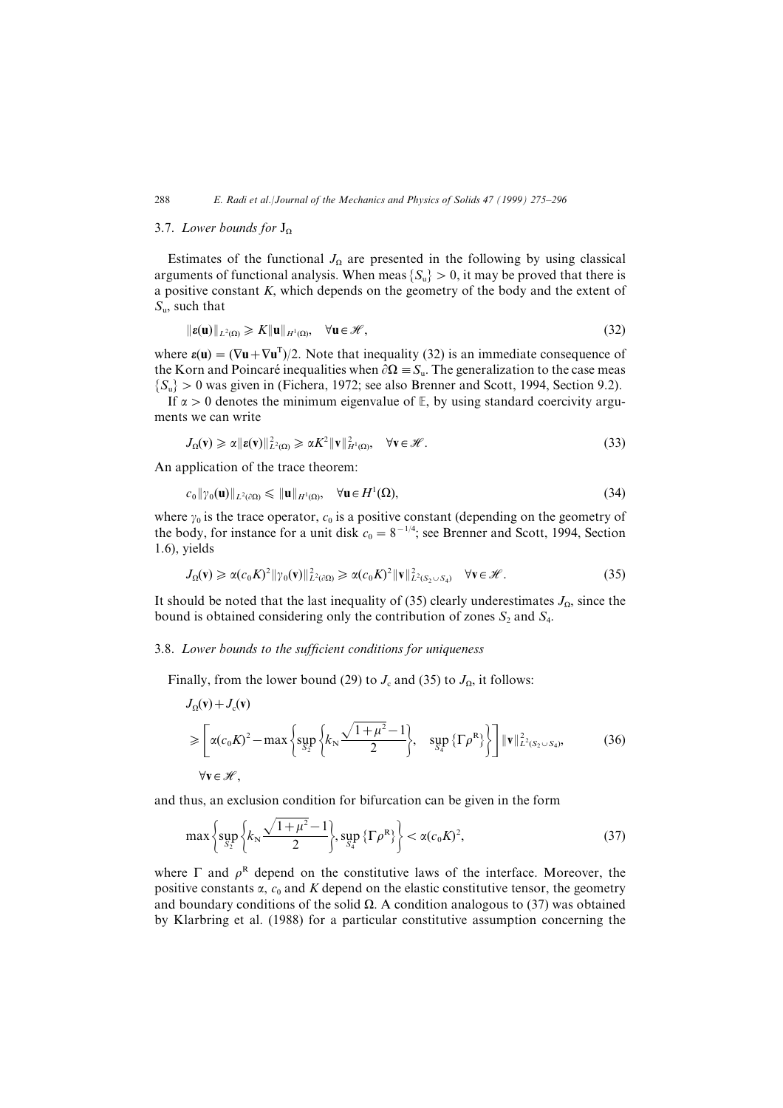## 3.7. Lower bounds for  $J_{\rm o}$

Estimates of the functional  $J_{\Omega}$  are presented in the following by using classical arguments of functional analysis. When meas  $\{S_u\} > 0$ , it may be proved that there is a positive constant  $K$ , which depends on the geometry of the body and the extent of  $S_{\rm u}$ , such that

$$
\|\boldsymbol{\varepsilon}(\mathbf{u})\|_{L^2(\Omega)} \geqslant K \|\mathbf{u}\|_{H^1(\Omega)}, \quad \forall \mathbf{u} \in \mathcal{H},
$$
\n(32)

where  $\varepsilon(\mathbf{u}) = (\nabla \mathbf{u} + \nabla \mathbf{u}^T)/2$ . Note that inequality (32) is an immediate consequence of the Korn and Poincaré inequalities when  $\partial \Omega = S_{\mathfrak{n}}$ . The generalization to the case meas  $\{S_u\} > 0$  was given in (Fichera, 1972; see also Brenner and Scott, 1994, Section 9.2).

If  $\alpha > 0$  denotes the minimum eigenvalue of E, by using standard coercivity arguments we can write

$$
J_{\Omega}(\mathbf{v}) \geq \alpha \|\mathbf{\varepsilon}(\mathbf{v})\|_{L^2(\Omega)}^2 \geq \alpha K^2 \|\mathbf{v}\|_{H^1(\Omega)}^2, \quad \forall \mathbf{v} \in \mathcal{H}.
$$

An application of the trace theorem:

$$
c_0 \|\gamma_0(\mathbf{u})\|_{L^2(\partial\Omega)} \le \|\mathbf{u}\|_{H^1(\Omega)}, \quad \forall \mathbf{u} \in H^1(\Omega), \tag{34}
$$

where  $\gamma_0$  is the trace operator,  $c_0$  is a positive constant (depending on the geometry of the body, for instance for a unit disk  $c_0 = 8^{-1/4}$ ; see Brenner and Scott, 1994, Section  $(1.6)$ , yields

$$
J_{\Omega}(\mathbf{v}) \geq \alpha (c_0 K)^2 \|\gamma_0(\mathbf{v})\|_{L^2(\partial\Omega)}^2 \geq \alpha (c_0 K)^2 \|\mathbf{v}\|_{L^2(S_2 \cup S_4)}^2 \quad \forall \mathbf{v} \in \mathcal{H}.
$$
 (35)

It should be noted that the last inequality of (35) clearly underestimates  $J_{\Omega}$ , since the bound is obtained considering only the contribution of zones  $S_2$  and  $S_4$ .

#### 3.8. Lower bounds to the sufficient conditions for uniqueness

Finally, from the lower bound (29) to  $J_c$  and (35) to  $J_\Omega$ , it follows:

$$
J_{\Omega}(\mathbf{v}) + J_{c}(\mathbf{v})
$$
\n
$$
\geqslant \left[ \alpha (c_{0} K)^{2} - \max \left\{ \sup_{S_{2}} \left\{ k_{N} \frac{\sqrt{1 + \mu^{2}} - 1}{2} \right\}, \sup_{S_{4}} \left\{ \Gamma \rho^{R} \right\} \right\} \right] \|\mathbf{v}\|_{L^{2}(S_{2} \cup S_{4})}^{2}, \qquad (36)
$$
\n
$$
\forall \mathbf{v} \in \mathcal{H},
$$

and thus, an exclusion condition for bifurcation can be given in the form

$$
\max\left\{\sup_{S_2^D}\left\{k_N\frac{\sqrt{1+\mu^2}-1}{2}\right\},\sup_{S_4^D}\left\{\Gamma\rho^R\right\}\right\}<\alpha(c_0K)^2,\tag{37}
$$

where  $\Gamma$  and  $\rho^R$  depend on the constitutive laws of the interface. Moreover, the positive constants  $\alpha$ ,  $c_0$  and K depend on the elastic constitutive tensor, the geometry and boundary conditions of the solid  $\Omega$ . A condition analogous to (37) was obtained by Klarbring et al. (1988) for a particular constitutive assumption concerning the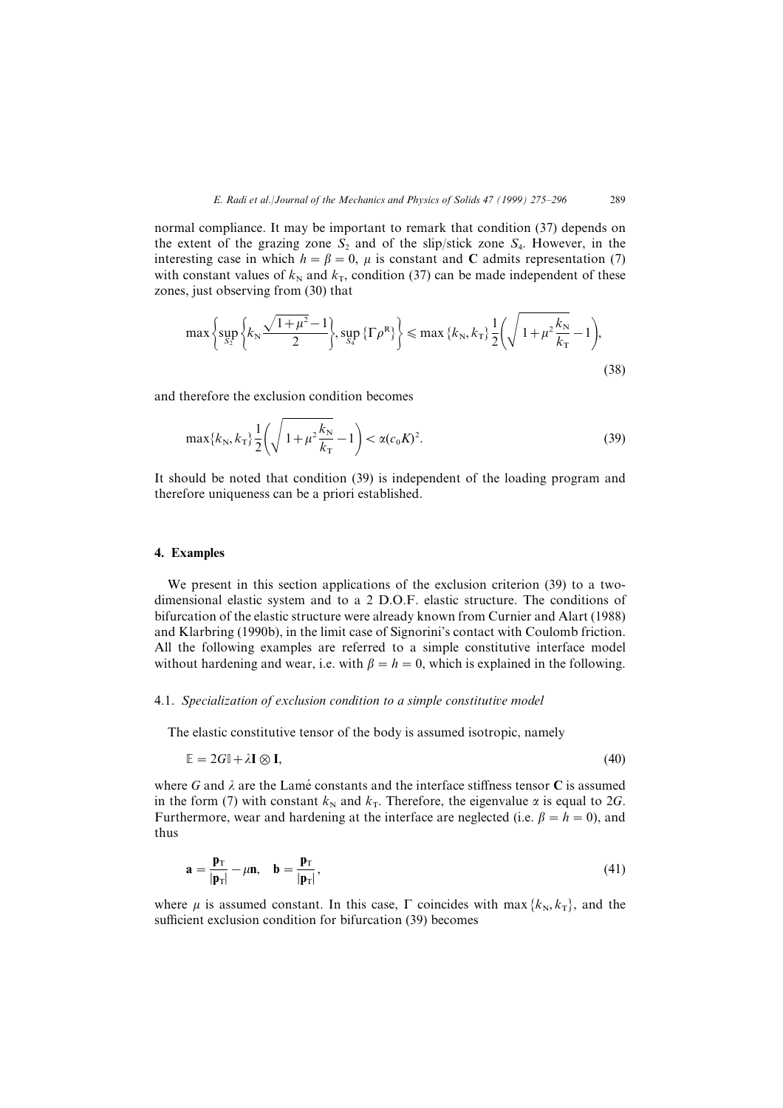normal compliance. It may be important to remark that condition  $(37)$  depends on the extent of the grazing zone  $S_2$  and of the slip/stick zone  $S_4$ . However, in the interesting case in which  $h = \beta = 0$ ,  $\mu$  is constant and C admits representation (7) with constant values of  $k_N$  and  $k_T$ , condition (37) can be made independent of these zones, just observing from (30) that

$$
\max\left\{\sup_{S_2}\left\{k_N\frac{\sqrt{1+\mu^2}-1}{2}\right\},\sup_{S_4^R}\left\{\Gamma\rho^R\right\}\right\}\leqslant\max\left\{k_N,k_T\right\}\frac{1}{2}\left(\sqrt{1+\mu^2\frac{k_N}{k_T}}-1\right),\tag{38}
$$

and therefore the exclusion condition becomes

$$
\max\{k_N, k_T\} \frac{1}{2} \left( \sqrt{1 + \mu^2 \frac{k_N}{k_T}} - 1 \right) < \alpha(c_0 K)^2. \tag{39}
$$

It should be noted that condition  $(39)$  is independent of the loading program and therefore uniqueness can be a priori established.

#### 4. Examples

We present in this section applications of the exclusion criterion  $(39)$  to a twodimensional elastic system and to a 2 D.O.F. elastic structure. The conditions of bifurcation of the elastic structure were already known from Curnier and Alart (1988) and Klarbring (1990b), in the limit case of Signorini's contact with Coulomb friction. All the following examples are referred to a simple constitutive interface model without hardening and wear, i.e. with  $\beta = h = 0$ , which is explained in the following.

### 4.1. Specialization of exclusion condition to a simple constitutive model

The elastic constitutive tensor of the body is assumed isotropic\ namely

$$
\mathbb{E} = 2G\mathbb{I} + \lambda \mathbf{I} \otimes \mathbf{I},\tag{40}
$$

where G and  $\lambda$  are the Lamé constants and the interface stiffness tensor C is assumed in the form (7) with constant  $k_N$  and  $k_T$ . Therefore, the eigenvalue  $\alpha$  is equal to 2G. Furthermore, wear and hardening at the interface are neglected (i.e.  $\beta = h = 0$ ), and thus

$$
\mathbf{a} = \frac{\mathbf{p}_{\mathrm{T}}}{|\mathbf{p}_{\mathrm{T}}|} - \mu \mathbf{n}, \quad \mathbf{b} = \frac{\mathbf{p}_{\mathrm{T}}}{|\mathbf{p}_{\mathrm{T}}|}, \tag{41}
$$

where  $\mu$  is assumed constant. In this case,  $\Gamma$  coincides with max  $\{k_N, k_T\}$ , and the sufficient exclusion condition for bifurcation (39) becomes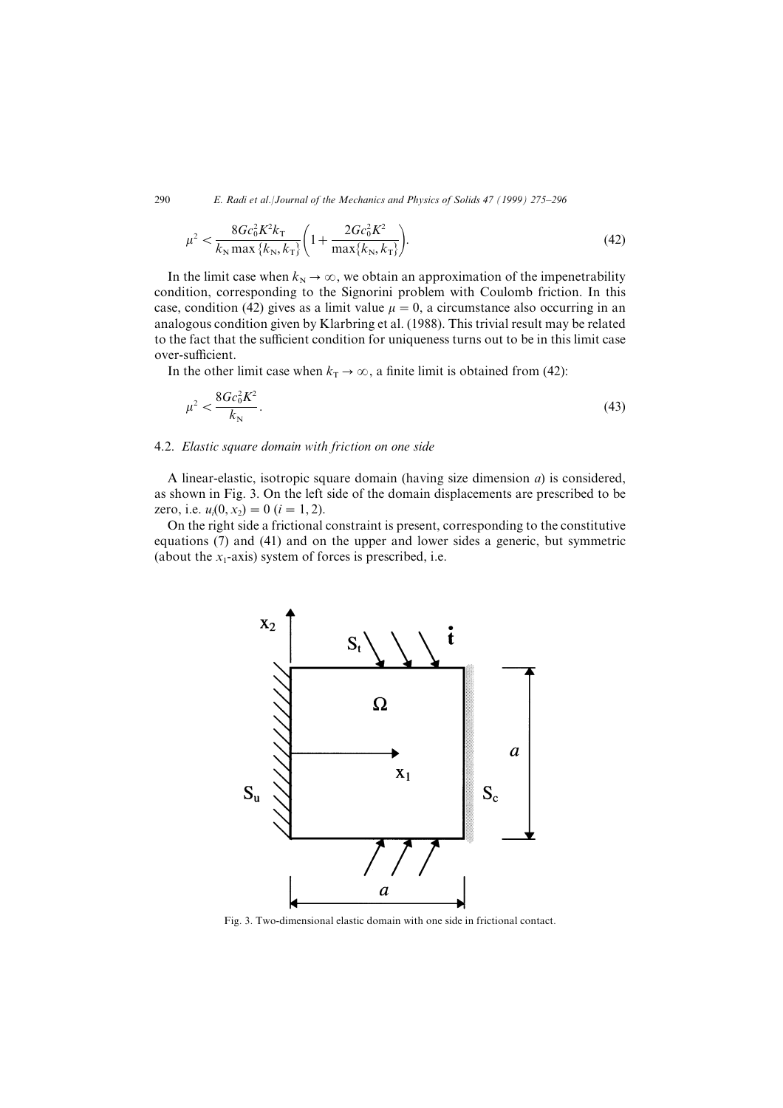$$
\mu^2 < \frac{8Gc_0^2K^2k_{\rm T}}{k_{\rm N}\max\{k_{\rm N},k_{\rm T}\}} \bigg(1 + \frac{2Gc_0^2K^2}{\max\{k_{\rm N},k_{\rm T}\}}\bigg). \tag{42}
$$

In the limit case when  $k_N \to \infty$ , we obtain an approximation of the impenetrability condition, corresponding to the Signorini problem with Coulomb friction. In this case, condition (42) gives as a limit value  $\mu = 0$ , a circumstance also occurring in an analogous condition given by Klarbring et al. (1988). This trivial result may be related to the fact that the sufficient condition for uniqueness turns out to be in this limit case over-sufficient.

In the other limit case when  $k_T \to \infty$ , a finite limit is obtained from (42):

$$
\mu^2 < \frac{8Gc_0^2 K^2}{k_{\rm N}}.\tag{43}
$$

#### 4.2. Elastic square domain with friction on one side

A linear-elastic, isotropic square domain (having size dimension  $a$ ) is considered, as shown in Fig. 3. On the left side of the domain displacements are prescribed to be zero, i.e.  $u_i(0, x_2) = 0$   $(i = 1, 2)$ .

On the right side a frictional constraint is present\ corresponding to the constitutive equations  $(7)$  and  $(41)$  and on the upper and lower sides a generic, but symmetric (about the  $x_1$ -axis) system of forces is prescribed, i.e.



Fig. 3. Two-dimensional elastic domain with one side in frictional contact.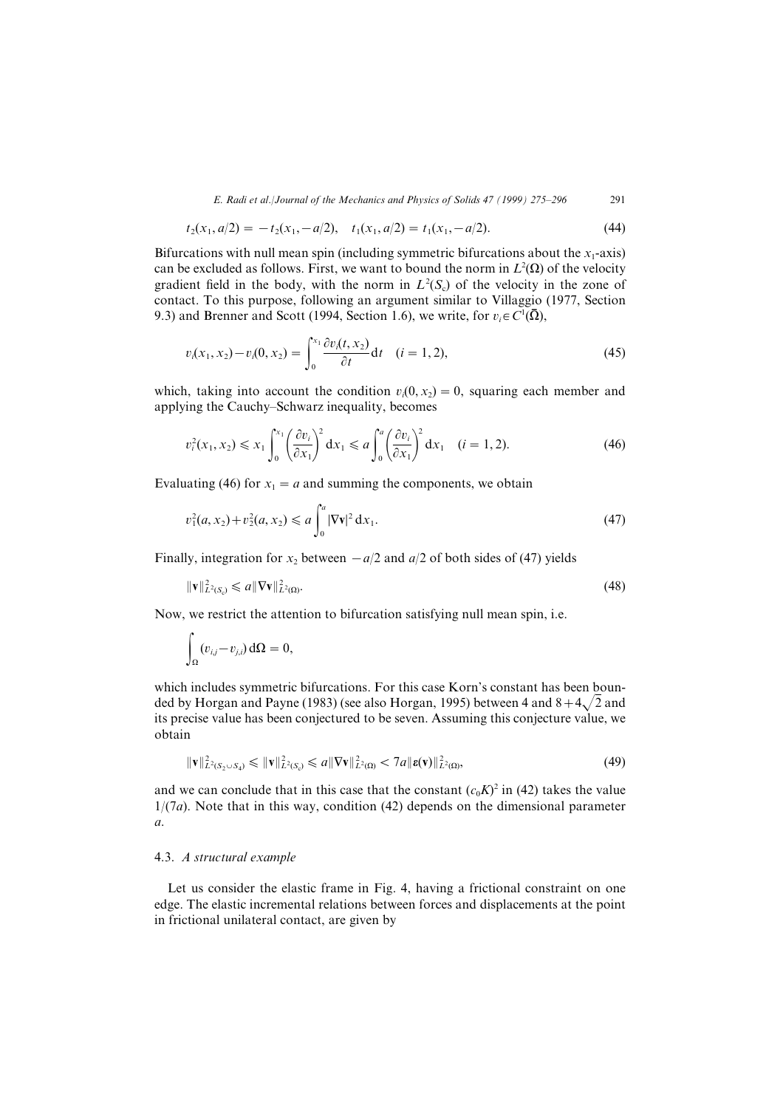$$
t_2(x_1, a/2) = -t_2(x_1, -a/2), \quad t_1(x_1, a/2) = t_1(x_1, -a/2). \tag{44}
$$

Bifurcations with null mean spin (including symmetric bifurcations about the  $x_1$ -axis) can be excluded as follows. First, we want to bound the norm in  $L^2(\Omega)$  of the velocity gradient field in the body, with the norm in  $L^2(S_c)$  of the velocity in the zone of contact. To this purpose, following an argument similar to Villaggio (1977, Section 9.3) and Brenner and Scott (1994, Section 1.6), we write, for  $v_i \in C^1(\bar{\Omega})$ ,

$$
v_i(x_1, x_2) - v_i(0, x_2) = \int_0^{x_1} \frac{\partial v_i(t, x_2)}{\partial t} dt \quad (i = 1, 2),
$$
\n(45)

which, taking into account the condition  $v_i(0, x_2) = 0$ , squaring each member and applying the Cauchy–Schwarz inequality, becomes

$$
v_i^2(x_1, x_2) \le x_1 \int_0^{x_1} \left(\frac{\partial v_i}{\partial x_1}\right)^2 dx_1 \le a \int_0^a \left(\frac{\partial v_i}{\partial x_1}\right)^2 dx_1 \quad (i = 1, 2).
$$
 (46)

Evaluating (46) for  $x_1 = a$  and summing the components, we obtain

$$
v_1^2(a, x_2) + v_2^2(a, x_2) \le a \int_0^a |\nabla \mathbf{v}|^2 dx_1.
$$
 (47)

Finally, integration for  $x_2$  between  $-a/2$  and  $a/2$  of both sides of (47) yields

$$
\|\mathbf{v}\|_{L^2(\mathcal{S}_c)}^2 \leqslant a \|\nabla \mathbf{v}\|_{L^2(\Omega)}^2.
$$
\n
$$
(48)
$$

Now, we restrict the attention to bifurcation satisfying null mean spin, i.e.

$$
\int_{\Omega} (v_{i,j} - v_{j,i}) \, \mathrm{d}\Omega = 0,
$$

which includes symmetric bifurcations. For this case Korn's constant has been bounded by Horgan and Payne (1983) (see also Horgan, 1995) between 4 and  $8+4\sqrt{2}$  and its precise value has been conjectured to be seven. Assuming this conjecture value, we obtain

$$
\|\mathbf{v}\|_{L^2(S_2\cup S_4)}^2 \leqslant \|\mathbf{v}\|_{L^2(S_c)}^2 \leqslant a\|\nabla\mathbf{v}\|_{L^2(\Omega)}^2 < 7a\|\mathbf{\varepsilon}(\mathbf{v})\|_{L^2(\Omega)}^2,\tag{49}
$$

and we can conclude that in this case that the constant  $(c_0K)^2$  in (42) takes the value  $1/(7a)$ . Note that in this way, condition (42) depends on the dimensional parameter  $\overline{a}$ .

# 4.3. A structural example

Let us consider the elastic frame in Fig. 4, having a frictional constraint on one edge. The elastic incremental relations between forces and displacements at the point in frictional unilateral contact, are given by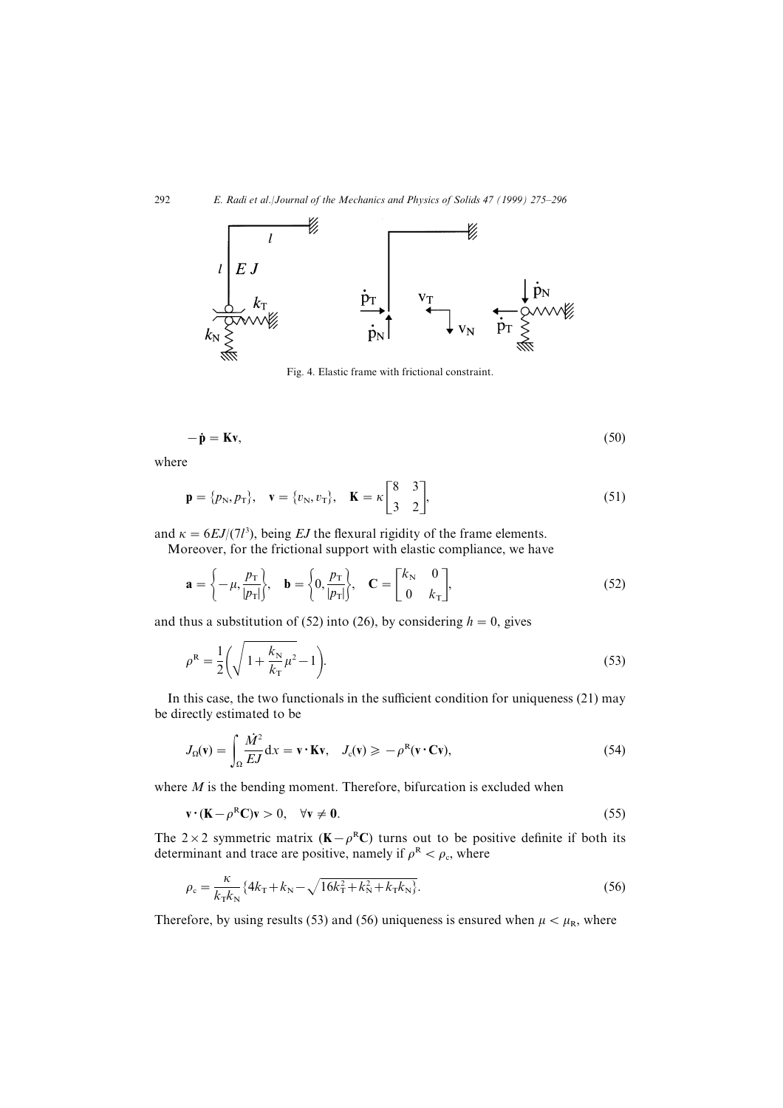

Fig. 4. Elastic frame with frictional constraint.

$$
-\dot{\mathbf{p}} = \mathbf{K}\mathbf{v},\tag{50}
$$

where

$$
\mathbf{p} = \{p_{N}, p_{T}\}, \quad \mathbf{v} = \{v_{N}, v_{T}\}, \quad \mathbf{K} = \kappa \begin{bmatrix} 8 & 3 \\ 3 & 2 \end{bmatrix},
$$
 (51)

and  $\kappa = 6EI/(7l^3)$ , being EJ the flexural rigidity of the frame elements. Moreover, for the frictional support with elastic compliance, we have

$$
\mathbf{a} = \left\{-\mu, \frac{p_{\rm T}}{|p_{\rm T}|}\right\}, \quad \mathbf{b} = \left\{0, \frac{p_{\rm T}}{|p_{\rm T}|}\right\}, \quad \mathbf{C} = \begin{bmatrix} k_{\rm N} & 0\\ 0 & k_{\rm T} \end{bmatrix},\tag{52}
$$

and thus a substitution of (52) into (26), by considering  $h=0$ , gives

$$
\rho^{\mathcal{R}} = \frac{1}{2} \left( \sqrt{1 + \frac{k_{\mathcal{N}}}{k_{\mathcal{I}}}} \mu^2 - 1 \right).
$$
\n(53)

In this case, the two functionals in the sufficient condition for uniqueness  $(21)$  may be directly estimated to be

$$
J_{\Omega}(\mathbf{v}) = \int_{\Omega} \frac{\dot{M}^2}{EJ} dx = \mathbf{v} \cdot \mathbf{K} \mathbf{v}, \quad J_{\rm c}(\mathbf{v}) \ge -\rho^{\rm R}(\mathbf{v} \cdot \mathbf{C} \mathbf{v}), \tag{54}
$$

where  $M$  is the bending moment. Therefore, bifurcation is excluded when

$$
\mathbf{v} \cdot (\mathbf{K} - \rho^{\mathrm{R}} \mathbf{C}) \mathbf{v} > 0, \quad \forall \mathbf{v} \neq \mathbf{0}.\tag{55}
$$

The 2×2 symmetric matrix ( $K-\rho<sup>R</sup>C$ ) turns out to be positive definite if both its determinant and trace are positive, namely if  $\rho^R < \rho_c$ , where

$$
\rho_{\rm c} = \frac{\kappa}{k_{\rm T} k_{\rm N}} \{ 4k_{\rm T} + k_{\rm N} - \sqrt{16k_{\rm T}^2 + k_{\rm N}^2 + k_{\rm T}k_{\rm N}} \}.
$$
\n(56)

Therefore, by using results (53) and (56) uniqueness is ensured when  $\mu < \mu_R$ , where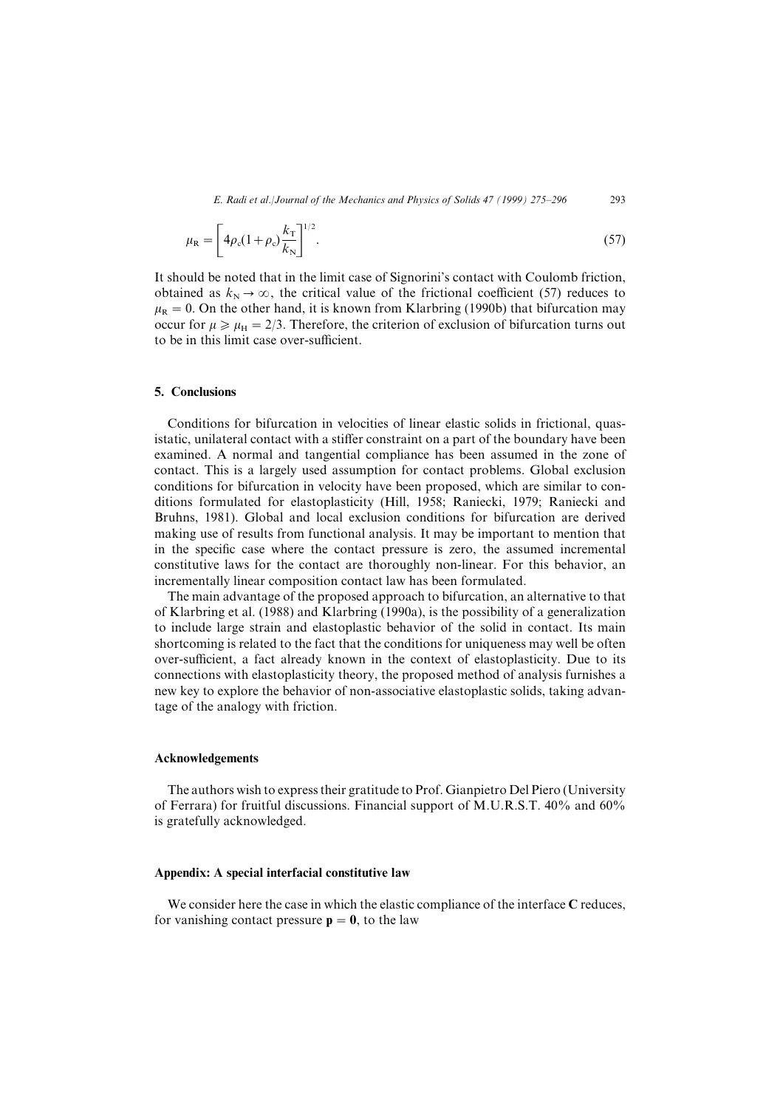$$
\mu_{\rm R} = \left[ 4\rho_{\rm c} (1+\rho_{\rm c}) \frac{k_{\rm T}}{k_{\rm N}} \right]^{1/2} . \tag{57}
$$

It should be noted that in the limit case of Signorini's contact with Coulomb friction. obtained as  $k_N \to \infty$ , the critical value of the frictional coefficient (57) reduces to  $\mu_R = 0$ . On the other hand, it is known from Klarbring (1990b) that bifurcation may occur for  $\mu \ge \mu_H = 2/3$ . Therefore, the criterion of exclusion of bifurcation turns out to be in this limit case over-sufficient.

# 5. Conclusions

Conditions for bifurcation in velocities of linear elastic solids in frictional, quasistatic, unilateral contact with a stiffer constraint on a part of the boundary have been examined. A normal and tangential compliance has been assumed in the zone of contact. This is a largely used assumption for contact problems. Global exclusion conditions for bifurcation in velocity have been proposed, which are similar to conditions formulated for elastoplasticity (Hill, 1958; Raniecki, 1979; Raniecki and Bruhns, 1981). Global and local exclusion conditions for bifurcation are derived making use of results from functional analysis. It may be important to mention that in the specific case where the contact pressure is zero, the assumed incremental constitutive laws for the contact are thoroughly non-linear. For this behavior, an incrementally linear composition contact law has been formulated.

The main advantage of the proposed approach to bifurcation, an alternative to that of Klarbring et al.  $(1988)$  and Klarbring  $(1990a)$ , is the possibility of a generalization to include large strain and elastoplastic behavior of the solid in contact. Its main shortcoming is related to the fact that the conditions for uniqueness may well be often over-sufficient, a fact already known in the context of elastoplasticity. Due to its connections with elastoplasticity theory\ the proposed method of analysis furnishes a new key to explore the behavior of non-associative elastoplastic solids, taking advantage of the analogy with friction.

# Acknowledgements

The authors wish to express their gratitude to Prof. Gianpietro Del Piero (University of Ferrara) for fruitful discussions. Financial support of M.U.R.S.T.  $40\%$  and  $60\%$ is gratefully acknowledged.

#### Appendix: A special interfacial constitutive law

We consider here the case in which the elastic compliance of the interface  $C$  reduces, for vanishing contact pressure  $p=0$ , to the law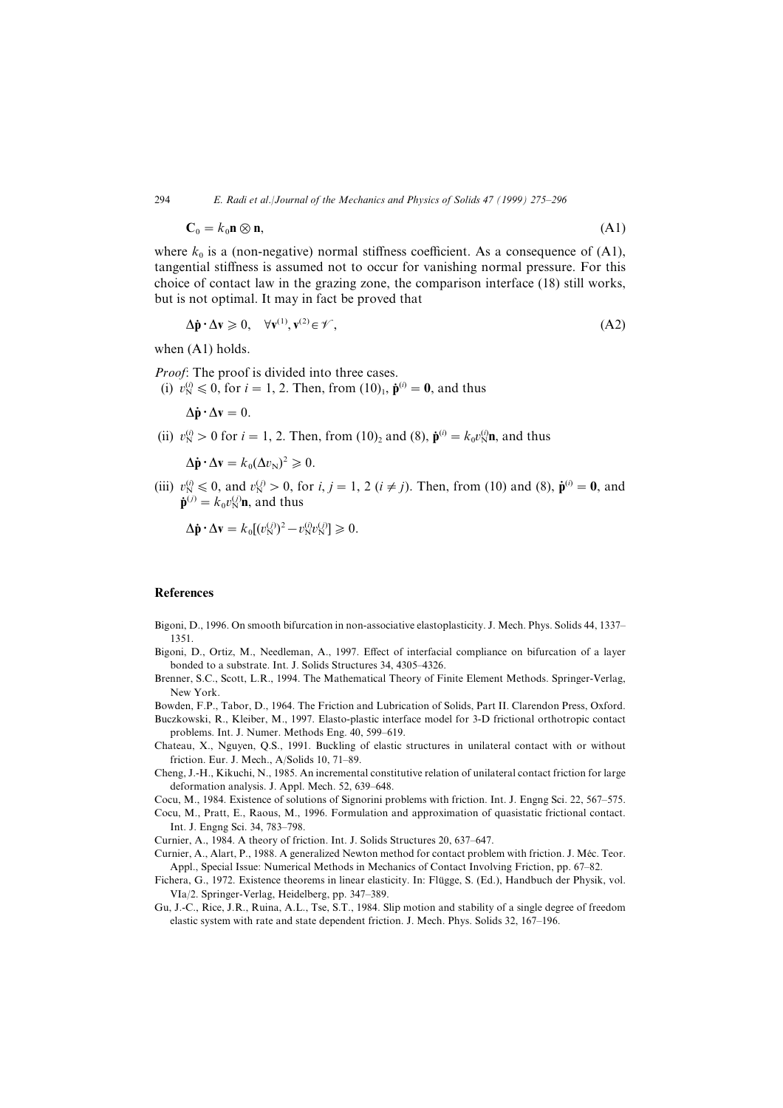$$
\mathbf{C}_0 = k_0 \mathbf{n} \otimes \mathbf{n},\tag{A1}
$$

where  $k_0$  is a (non-negative) normal stiffness coefficient. As a consequence of (A1), tangential stiffness is assumed not to occur for vanishing normal pressure. For this choice of contact law in the grazing zone, the comparison interface  $(18)$  still works. but is not optimal. It may in fact be proved that

$$
\Delta \dot{\mathbf{p}} \cdot \Delta \mathbf{v} \ge 0, \quad \forall \mathbf{v}^{(1)}, \mathbf{v}^{(2)} \in \mathcal{V},\tag{A2}
$$

when  $(A1)$  holds.

*Proof*: The proof is divided into three cases.

(i)  $v_N^{(i)} \le 0$ , for  $i = 1, 2$ . Then, from  $(10)_1$ ,  $\dot{\mathbf{p}}^{(i)} = 0$ , and thus

 $\Lambda \dot{\mathbf{n}} \cdot \Lambda \mathbf{v} = 0$ .

(ii)  $v_N^{(i)} > 0$  for  $i = 1, 2$ . Then, from  $(10)_2$  and  $(8)$ ,  $\dot{\mathbf{p}}^{(i)} = k_0 v_N^{(i)} \mathbf{n}$ , and thus

$$
\Delta \dot{\mathbf{p}} \cdot \Delta \mathbf{v} = k_0 (\Delta v_N)^2 \geqslant 0.
$$

(iii)  $v_{\text{N}}^{(i)} \le 0$ , and  $v_{\text{N}}^{(j)} > 0$ , for  $i, j = 1, 2$  ( $i \ne j$ ). Then, from (10) and (8),  $\dot{\mathbf{p}}^{(i)} = \mathbf{0}$ , and  $\dot{\mathbf{p}}^{(j)} = k_0 v_{\rm N}^{(j)} \mathbf{n}$ , and thus

$$
\Delta \dot{\mathbf{p}} \cdot \Delta \mathbf{v} = k_0 [(v_N^{(j)})^2 - v_N^{(i)} v_N^{(j)}] \geq 0.
$$

#### **References**

Bigoni, D., 1996. On smooth bifurcation in non-associative elastoplasticity. J. Mech. Phys. Solids 44, 1337– 1351.

Bigoni, D., Ortiz, M., Needleman, A., 1997. Effect of interfacial compliance on bifurcation of a layer bonded to a substrate. Int. J. Solids Structures 34, 4305-4326.

- Brenner, S.C., Scott, L.R., 1994. The Mathematical Theory of Finite Element Methods. Springer-Verlag, New York[
- Bowden, F.P., Tabor, D., 1964. The Friction and Lubrication of Solids, Part II. Clarendon Press, Oxford.
- Buczkowski, R., Kleiber, M., 1997. Elasto-plastic interface model for 3-D frictional orthotropic contact problems. Int. J. Numer. Methods Eng. 40, 599-619.
- Chateau, X., Nguyen, Q.S., 1991. Buckling of elastic structures in unilateral contact with or without friction. Eur. J. Mech., A/Solids 10,  $71-89$ .
- Cheng, J.-H., Kikuchi, N., 1985. An incremental constitutive relation of unilateral contact friction for large deformation analysis. J. Appl. Mech. 52, 639–648.
- Cocu, M., 1984. Existence of solutions of Signorini problems with friction. Int. J. Engng Sci. 22, 567–575.
- Cocu, M., Pratt, E., Raous, M., 1996. Formulation and approximation of quasistatic frictional contact. Int. J. Engng Sci. 34, 783-798.

Curnier, A., 1984. A theory of friction. Int. J. Solids Structures 20, 637-647.

- Curnier, A., Alart, P., 1988. A generalized Newton method for contact problem with friction. J. Méc. Teor. Appl., Special Issue: Numerical Methods in Mechanics of Contact Involving Friction, pp. 67–82.
- Fichera, G., 1972. Existence theorems in linear elasticity. In: Flügge, S. (Ed.), Handbuch der Physik, vol. VIa/2. Springer-Verlag, Heidelberg, pp. 347-389.
- Gu, J.-C., Rice, J.R., Ruina, A.L., Tse, S.T., 1984. Slip motion and stability of a single degree of freedom elastic system with rate and state dependent friction. J. Mech. Phys. Solids 32, 167–196.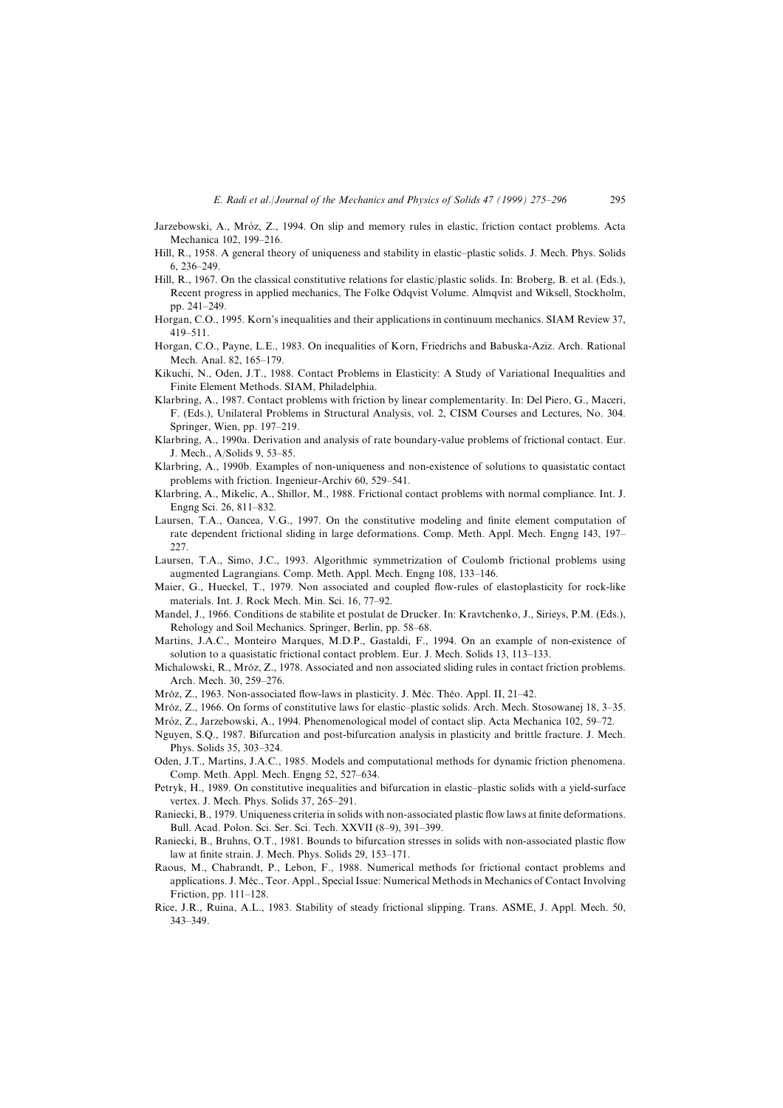Jarzebowski, A., Mróz, Z., 1994. On slip and memory rules in elastic, friction contact problems. Acta Mechanica 102, 199-216.

- Hill, R., 1958. A general theory of uniqueness and stability in elastic-plastic solids. J. Mech. Phys. Solids  $6, 236 - 249.$
- Hill, R., 1967. On the classical constitutive relations for elastic/plastic solids. In: Broberg, B. et al. (Eds.), Recent progress in applied mechanics, The Folke Odqvist Volume. Almqvist and Wiksell, Stockholm, pp. 241-249.
- Horgan, C.O., 1995. Korn's inequalities and their applications in continuum mechanics. SIAM Review 37,  $419 - 511$
- Horgan, C.O., Payne, L.E., 1983. On inequalities of Korn, Friedrichs and Babuska-Aziz. Arch. Rational Mech. Anal. 82, 165-179.
- Kikuchi, N., Oden, J.T., 1988. Contact Problems in Elasticity: A Study of Variational Inequalities and Finite Element Methods. SIAM, Philadelphia.
- Klarbring, A., 1987. Contact problems with friction by linear complementarity. In: Del Piero, G., Maceri, F. (Eds.), Unilateral Problems in Structural Analysis, vol. 2, CISM Courses and Lectures, No. 304. Springer, Wien, pp. 197-219.
- Klarbring, A., 1990a. Derivation and analysis of rate boundary-value problems of frictional contact. Eur. J. Mech., A/Solids 9, 53-85.
- Klarbring, A., 1990b. Examples of non-uniqueness and non-existence of solutions to quasistatic contact problems with friction. Ingenieur-Archiv 60, 529-541.
- Klarbring, A., Mikelic, A., Shillor, M., 1988. Frictional contact problems with normal compliance. Int. J. Engng Sci. 26, 811-832.
- Laursen, T.A., Oancea, V.G., 1997. On the constitutive modeling and finite element computation of rate dependent frictional sliding in large deformations. Comp. Meth. Appl. Mech. Engng 143, 197– 227
- Laursen, T.A., Simo, J.C., 1993. Algorithmic symmetrization of Coulomb frictional problems using augmented Lagrangians, Comp. Meth. Appl. Mech. Engng 108, 133–146.
- Maier, G., Hueckel, T., 1979. Non associated and coupled flow-rules of elastoplasticity for rock-like materials. Int. J. Rock Mech. Min. Sci. 16, 77-92.
- Mandel, J., 1966. Conditions de stabilite et postulat de Drucker. In: Kravtchenko, J., Sirieys, P.M. (Eds.), Rehology and Soil Mechanics. Springer, Berlin, pp. 58–68.
- Martins, J.A.C., Monteiro Marques, M.D.P., Gastaldi, F., 1994. On an example of non-existence of solution to a quasistatic frictional contact problem. Eur. J. Mech. Solids 13, 113-133.
- Michalowski, R., Mróz, Z., 1978. Associated and non associated sliding rules in contact friction problems. Arch. Mech. 30, 259-276.
- Mróz, Z., 1963. Non-associated flow-laws in plasticity. J. Méc. Théo. Appl. II, 21–42.
- Mróz, Z., 1966. On forms of constitutive laws for elastic–plastic solids. Arch. Mech. Stosowanej 18, 3–35. Mróz, Z., Jarzebowski, A., 1994. Phenomenological model of contact slip. Acta Mechanica 102, 59–72.
- Nguyen, S.Q., 1987. Bifurcation and post-bifurcation analysis in plasticity and brittle fracture. J. Mech. Phys. Solids 35, 303-324.
- Oden, J.T., Martins, J.A.C., 1985. Models and computational methods for dynamic friction phenomena. Comp. Meth. Appl. Mech. Engng 52, 527–634
- Petryk, H., 1989. On constitutive inequalities and bifurcation in elastic–plastic solids with a yield-surface vertex. J. Mech. Phys. Solids 37, 265-291.
- Raniecki, B., 1979. Uniqueness criteria in solids with non-associated plastic flow laws at finite deformations. Bull. Acad. Polon. Sci. Ser. Sci. Tech. XXVII (8-9), 391-399.
- Raniecki, B., Bruhns, O.T., 1981. Bounds to bifurcation stresses in solids with non-associated plastic flow law at finite strain. J. Mech. Phys. Solids 29, 153-171.
- Raous, M., Chabrandt, P., Lebon, F., 1988. Numerical methods for frictional contact problems and applications. J. Méc., Teor. Appl., Special Issue: Numerical Methods in Mechanics of Contact Involving Friction. pp.  $111-128$ .
- Rice, J.R., Ruina, A.L., 1983. Stability of steady frictional slipping. Trans. ASME, J. Appl. Mech. 50,  $343 - 349$